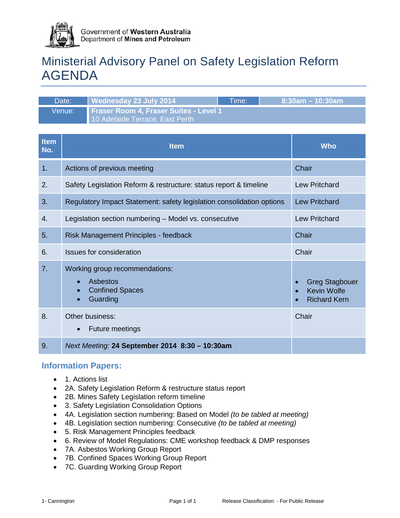

# Ministerial Advisory Panel on Safety Legislation Reform AGENDA

| Date:  | Wednesday 23 July 2014                                                           | Time: | $8:30$ am – 10:30am |
|--------|----------------------------------------------------------------------------------|-------|---------------------|
| Venue: | <b>Fraser Room 4, Fraser Suites - Level 1</b><br>10 Adelaide Terrace, East Perth |       |                     |

| <b>Item</b><br>No. | <b>Item</b>                                                                                                             | <b>Who</b>                                                                      |
|--------------------|-------------------------------------------------------------------------------------------------------------------------|---------------------------------------------------------------------------------|
| 1.                 | Actions of previous meeting                                                                                             | Chair                                                                           |
| 2.                 | Safety Legislation Reform & restructure: status report & timeline                                                       | <b>Lew Pritchard</b>                                                            |
| 3.                 | Regulatory Impact Statement: safety legislation consolidation options                                                   | <b>Lew Pritchard</b>                                                            |
| 4.                 | Legislation section numbering - Model vs. consecutive                                                                   | <b>Lew Pritchard</b>                                                            |
| 5.                 | Risk Management Principles - feedback                                                                                   | Chair                                                                           |
| 6.                 | Issues for consideration                                                                                                | Chair                                                                           |
| 7 <sub>1</sub>     | Working group recommendations:<br>Asbestos<br>$\bullet$<br><b>Confined Spaces</b><br>$\bullet$<br>Guarding<br>$\bullet$ | <b>Greg Stagbouer</b><br><b>Kevin Wolfe</b><br><b>Richard Kern</b><br>$\bullet$ |
| 8.                 | Other business:<br>Future meetings<br>$\bullet$                                                                         | Chair                                                                           |
| 9.                 | Next Meeting: 24 September 2014 8:30 - 10:30am                                                                          |                                                                                 |

# **Information Papers:**

- 1. Actions list
- 2A. Safety Legislation Reform & restructure status report
- 2B. Mines Safety Legislation reform timeline
- 3. Safety Legislation Consolidation Options
- 4A. Legislation section numbering: Based on Model *(to be tabled at meeting)*
- 4B. Legislation section numbering: Consecutive *(to be tabled at meeting)*
- 5. Risk Management Principles feedback
- 6. Review of Model Regulations: CME workshop feedback & DMP responses
- 7A. Asbestos Working Group Report
- 7B. Confined Spaces Working Group Report
- 7C. Guarding Working Group Report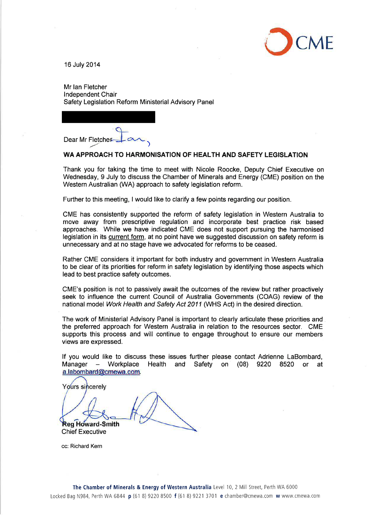

16 July 2014

Mr Ian Fletcher Independent Chair Safety Legislation Reform Ministerial Advisory Panel

Dear Mr Fletcher

#### WA APPROACH TO HARMONISATION OF HEALTH AND SAFETY LEGISLATION

Thank you for taking the time to meet with Nicole Roocke, Deputy Chief Executive on Wednesday, 9 July to discuss the Chamber of Minerals and Energy (CME) position on the Western Australian (WA) approach to safety legislation reform.

Further to this meeting, I would like to clarify a few points regarding our position.

CME has consistently supported the reform of safety legislation in Western Australia to move away from prescriptive regulation and incorporate best practice risk based approaches. While we have indicated CME does not support pursuing the harmonised legislation in its current form, at no point have we suggested discussion on safety reform is unnecessary and at no stage have we advocated for reforms to be ceased.

Rather CME considers it important for both industry and government in Western Australia to be clear of its priorities for reform in safety legislation by identifying those aspects which lead to best practice safety outcomes.

CME's position is not to passively await the outcomes of the review but rather proactively seek to influence the current Council of Australia Governments (COAG) review of the national model Work Health and Safety Act 2011 (WHS Act) in the desired direction.

The work of Ministerial Advisory Panel is important to clearly articulate these priorities and the preferred approach for Western Australia in relation to the resources sector. CME supports this process and will continue to engage throughout to ensure our members views are expressed.

If you would like to discuss these issues further please contact Adrienne LaBombard, Workplace Health and Safety on (08) 9220 8520 or Manager  $\sim$ at a.labombard@cmewa.com.

Yours sincerely

**Reg Howard-Smith Chief Executive** 

cc: Richard Kern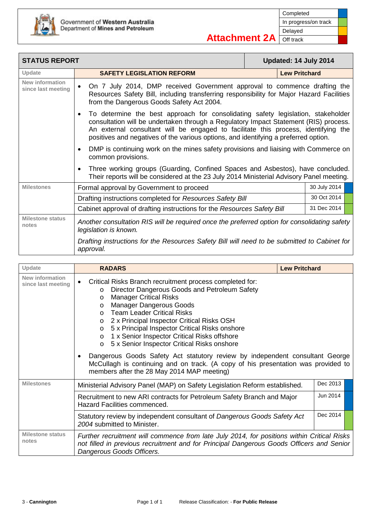

 $\overline{\phantom{a}}$ 

| <b>STATUS REPORT</b>                         |                                                                                                                                                                                                                                                                                                                                                                    | Updated: 14 July 2014 |
|----------------------------------------------|--------------------------------------------------------------------------------------------------------------------------------------------------------------------------------------------------------------------------------------------------------------------------------------------------------------------------------------------------------------------|-----------------------|
| Update                                       | <b>SAFETY LEGISLATION REFORM</b>                                                                                                                                                                                                                                                                                                                                   | <b>Lew Pritchard</b>  |
| <b>New information</b><br>since last meeting | On 7 July 2014, DMP received Government approval to commence drafting the<br>$\bullet$<br>Resources Safety Bill, including transferring responsibility for Major Hazard Facilities<br>from the Dangerous Goods Safety Act 2004.                                                                                                                                    |                       |
|                                              | To determine the best approach for consolidating safety legislation, stakeholder<br>$\bullet$<br>consultation will be undertaken through a Regulatory Impact Statement (RIS) process.<br>An external consultant will be engaged to facilitate this process, identifying the<br>positives and negatives of the various options, and identifying a preferred option. |                       |
|                                              | DMP is continuing work on the mines safety provisions and liaising with Commerce on<br>$\bullet$<br>common provisions.                                                                                                                                                                                                                                             |                       |
|                                              | Three working groups (Guarding, Confined Spaces and Asbestos), have concluded.<br>$\bullet$<br>Their reports will be considered at the 23 July 2014 Ministerial Advisory Panel meeting.                                                                                                                                                                            |                       |
| <b>Milestones</b>                            | Formal approval by Government to proceed                                                                                                                                                                                                                                                                                                                           | 30 July 2014          |
|                                              | Drafting instructions completed for Resources Safety Bill                                                                                                                                                                                                                                                                                                          | 30 Oct 2014           |
|                                              | Cabinet approval of drafting instructions for the Resources Safety Bill                                                                                                                                                                                                                                                                                            | 31 Dec 2014           |
| <b>Milestone status</b><br>notes             | Another consultation RIS will be required once the preferred option for consolidating safety<br>legislation is known.                                                                                                                                                                                                                                              |                       |
|                                              | Drafting instructions for the Resources Safety Bill will need to be submitted to Cabinet for<br>approval.                                                                                                                                                                                                                                                          |                       |

| Update                                | <b>RADARS</b>                                                                                                                                                                                                                                                                                                                                                                                                                                                                                             | <b>Lew Pritchard</b> |          |  |
|---------------------------------------|-----------------------------------------------------------------------------------------------------------------------------------------------------------------------------------------------------------------------------------------------------------------------------------------------------------------------------------------------------------------------------------------------------------------------------------------------------------------------------------------------------------|----------------------|----------|--|
| New information<br>since last meeting | Critical Risks Branch recruitment process completed for:<br>Director Dangerous Goods and Petroleum Safety<br>$\circ$<br><b>Manager Critical Risks</b><br>$\circ$<br><b>Manager Dangerous Goods</b><br>$\circ$<br><b>Team Leader Critical Risks</b><br>$\Omega$<br>2 x Principal Inspector Critical Risks OSH<br>$\circ$<br>5 x Principal Inspector Critical Risks onshore<br>$\circ$<br>1 x Senior Inspector Critical Risks offshore<br>$\circ$<br>5 x Senior Inspector Critical Risks onshore<br>$\circ$ |                      |          |  |
|                                       | Dangerous Goods Safety Act statutory review by independent consultant George<br>٠<br>McCullagh is continuing and on track. (A copy of his presentation was provided to<br>members after the 28 May 2014 MAP meeting)                                                                                                                                                                                                                                                                                      |                      |          |  |
| <b>Milestones</b>                     | Ministerial Advisory Panel (MAP) on Safety Legislation Reform established.                                                                                                                                                                                                                                                                                                                                                                                                                                |                      | Dec 2013 |  |
|                                       | Recruitment to new ARI contracts for Petroleum Safety Branch and Major<br><b>Hazard Facilities commenced.</b>                                                                                                                                                                                                                                                                                                                                                                                             |                      | Jun 2014 |  |
|                                       | Statutory review by independent consultant of Dangerous Goods Safety Act<br>2004 submitted to Minister.                                                                                                                                                                                                                                                                                                                                                                                                   |                      | Dec 2014 |  |
| <b>Milestone status</b><br>notes      | Further recruitment will commence from late July 2014, for positions within Critical Risks<br>not filled in previous recruitment and for Principal Dangerous Goods Officers and Senior<br>Dangerous Goods Officers.                                                                                                                                                                                                                                                                                       |                      |          |  |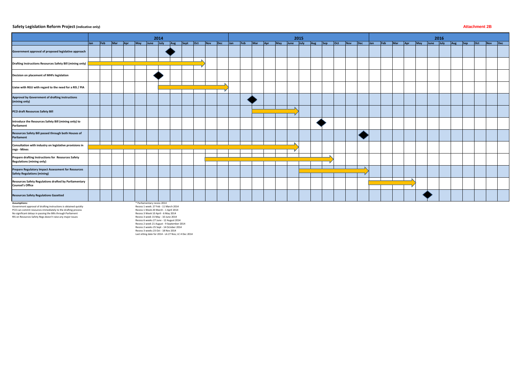#### **Safety Legislation Reform Project (indicative only) Attachment 2B**

|                                                                                          | 2014       |     |     |              |               |  |  |              |  | 2015       |         |  |  |             |  |               | 2016 |  |  |                         |  |  |  |  |  |                           |  |  |                  |         |         |         |  |
|------------------------------------------------------------------------------------------|------------|-----|-----|--------------|---------------|--|--|--------------|--|------------|---------|--|--|-------------|--|---------------|------|--|--|-------------------------|--|--|--|--|--|---------------------------|--|--|------------------|---------|---------|---------|--|
|                                                                                          | <b>Jan</b> | Feb | Mar | $\sqrt{Apr}$ | May June July |  |  | Aug Sept Oct |  | <b>Nov</b> | Dec Jan |  |  | Feb Mar Apr |  | May June July |      |  |  | Aug Sep Oct Nov Dec Jan |  |  |  |  |  | Feb Mar Apr May June July |  |  | $\overline{Aug}$ | $ $ Sep | $ $ Oct | Nov Dec |  |
| Government approval of proposed legislative approach                                     |            |     |     |              |               |  |  |              |  |            |         |  |  |             |  |               |      |  |  |                         |  |  |  |  |  |                           |  |  |                  |         |         |         |  |
| Drafting Instructions Resources Safety Bill (mining only)                                |            |     |     |              |               |  |  |              |  |            |         |  |  |             |  |               |      |  |  |                         |  |  |  |  |  |                           |  |  |                  |         |         |         |  |
| Decision on placement of MHFs legislation                                                |            |     |     |              |               |  |  |              |  |            |         |  |  |             |  |               |      |  |  |                         |  |  |  |  |  |                           |  |  |                  |         |         |         |  |
| Liaise with RGU with regard to the need for a RIS / PIA                                  |            |     |     |              |               |  |  |              |  |            |         |  |  |             |  |               |      |  |  |                         |  |  |  |  |  |                           |  |  |                  |         |         |         |  |
| Approval by Government of drafting instructions<br>(mining only)                         |            |     |     |              |               |  |  |              |  |            |         |  |  |             |  |               |      |  |  |                         |  |  |  |  |  |                           |  |  |                  |         |         |         |  |
| PCO draft Resources Safety Bill                                                          |            |     |     |              |               |  |  |              |  |            |         |  |  |             |  |               |      |  |  |                         |  |  |  |  |  |                           |  |  |                  |         |         |         |  |
| Introduce the Resources Safety Bill (mining only) to<br>Parliament                       |            |     |     |              |               |  |  |              |  |            |         |  |  |             |  |               |      |  |  |                         |  |  |  |  |  |                           |  |  |                  |         |         |         |  |
| Resources Safety Bill passed through both Houses of<br>Parliament                        |            |     |     |              |               |  |  |              |  |            |         |  |  |             |  |               |      |  |  |                         |  |  |  |  |  |                           |  |  |                  |         |         |         |  |
| Consultation with industry on legislative provisions in<br>regs - Mines                  |            |     |     |              |               |  |  |              |  |            |         |  |  |             |  |               |      |  |  |                         |  |  |  |  |  |                           |  |  |                  |         |         |         |  |
| Prepare drafting Instructions for Resources Safety<br><b>Regulations (mining only)</b>   |            |     |     |              |               |  |  |              |  |            |         |  |  |             |  |               |      |  |  |                         |  |  |  |  |  |                           |  |  |                  |         |         |         |  |
| Prepare Regulatory Impact Assessment for Resources<br><b>Safety Regulations (mining)</b> |            |     |     |              |               |  |  |              |  |            |         |  |  |             |  |               |      |  |  |                         |  |  |  |  |  |                           |  |  |                  |         |         |         |  |
| Resources Safety Regulations drafted by Parliamentary<br><b>Counsel's Office</b>         |            |     |     |              |               |  |  |              |  |            |         |  |  |             |  |               |      |  |  |                         |  |  |  |  |  |                           |  |  |                  |         |         |         |  |
| <b>Resources Safety Regulations Gazetted</b>                                             |            |     |     |              |               |  |  |              |  |            |         |  |  |             |  |               |      |  |  |                         |  |  |  |  |  |                           |  |  |                  |         |         |         |  |

**Assumptions:**<br>Government approval of drafting instructions is obtained quickly<br>PCO can commit resources immediately to the drafting process<br>No significant delays in passing the Bills through Parliament<br>RIS on Resources Sa

\* Parliamentary recess 2014<br>Recess 1 week: 27 Feb - 11 March 2014<br>Recess 1 Week 20 March - 1 April 2014<br>Recess 3 Week 10 April - 6 May 2014<br>Recess 3 week 15 May - 10 June 2014<br>Recess 6 weeks 27 June - 12 August 2014<br>Recess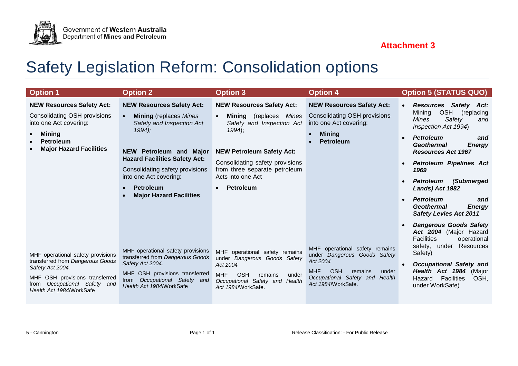# **Attachment 3**



Government of Western Australia<br>Department of Mines and Petroleum

| <b>Option 1</b>                                                                                                                                                                            | <b>Option 2</b>                                                                                                                                                                                                                                                                                  | <b>Option 3</b>                                                                                                                                                                                                                                                                       | <b>Option 4</b>                                                                                                                                                                       | <b>Option 5 (STATUS QUO)</b>                                                                                                                                                                                                                                                                                                                                                                                                                               |
|--------------------------------------------------------------------------------------------------------------------------------------------------------------------------------------------|--------------------------------------------------------------------------------------------------------------------------------------------------------------------------------------------------------------------------------------------------------------------------------------------------|---------------------------------------------------------------------------------------------------------------------------------------------------------------------------------------------------------------------------------------------------------------------------------------|---------------------------------------------------------------------------------------------------------------------------------------------------------------------------------------|------------------------------------------------------------------------------------------------------------------------------------------------------------------------------------------------------------------------------------------------------------------------------------------------------------------------------------------------------------------------------------------------------------------------------------------------------------|
| <b>NEW Resources Safety Act:</b><br>Consolidating OSH provisions<br>into one Act covering:<br><b>Mining</b><br><b>Petroleum</b><br><b>Major Hazard Facilities</b>                          | <b>NEW Resources Safety Act:</b><br><b>Mining</b> (replaces <i>Mines</i><br>Safety and Inspection Act<br>$1994$ :<br>NEW Petroleum and Major<br><b>Hazard Facilities Safety Act:</b><br>Consolidating safety provisions<br>into one Act covering:<br>Petroleum<br><b>Major Hazard Facilities</b> | <b>NEW Resources Safety Act:</b><br><b>Mining</b> (replaces <i>Mines</i><br>$\bullet$<br>Safety and Inspection Act<br>$1994$ ;<br><b>NEW Petroleum Safety Act:</b><br>Consolidating safety provisions<br>from three separate petroleum<br>Acts into one Act<br>Petroleum<br>$\bullet$ | <b>NEW Resources Safety Act:</b><br>Consolidating OSH provisions<br>into one Act covering:<br><b>Mining</b><br>$\bullet$<br><b>Petroleum</b>                                          | <b>Resources Safety</b><br>Act:<br>$\bullet$<br>OSH (replacing<br>Mining<br><b>Mines</b><br>Safety<br>and<br>Inspection Act 1994)<br><b>Petroleum</b><br>and<br>$\bullet$<br><b>Geothermal</b><br><b>Energy</b><br><b>Resources Act 1967</b><br><b>Petroleum Pipelines Act</b><br>1969<br><b>Petroleum</b><br>(Submerged<br>Lands) Act 1982<br><b>Petroleum</b><br>and<br>$\bullet$<br><b>Geothermal</b><br><b>Energy</b><br><b>Safety Levies Act 2011</b> |
| MHF operational safety provisions<br>transferred from Dangerous Goods<br>Safety Act 2004.<br>MHF OSH provisions transferred<br>Occupational Safety and<br>from<br>Health Act 1984/WorkSafe | MHF operational safety provisions<br>transferred from Dangerous Goods<br>Safety Act 2004.<br>MHF OSH provisions transferred<br>Occupational Safety and<br>from<br>Health Act 1984/WorkSafe                                                                                                       | MHF operational safety remains<br>under Dangerous Goods Safety<br>Act 2004<br><b>OSH</b><br><b>MHF</b><br>remains<br>under<br>Occupational Safety and<br>Health<br>Act 1984/WorkSafe.                                                                                                 | MHF operational safety remains<br>under Dangerous Goods Safety<br>Act 2004<br><b>OSH</b><br><b>MHF</b><br>remains<br>under<br>Occupational Safety and<br>Health<br>Act 1984/WorkSafe. | <b>Dangerous Goods Safety</b><br>Act 2004 (Major Hazard<br><b>Facilities</b><br>operational<br>safety, under<br>Resources<br>Safety)<br><b>Occupational Safety and</b><br>$\bullet$<br>Health Act 1984 (Major<br>Facilities<br>Hazard<br>OSH.<br>under WorkSafe)                                                                                                                                                                                           |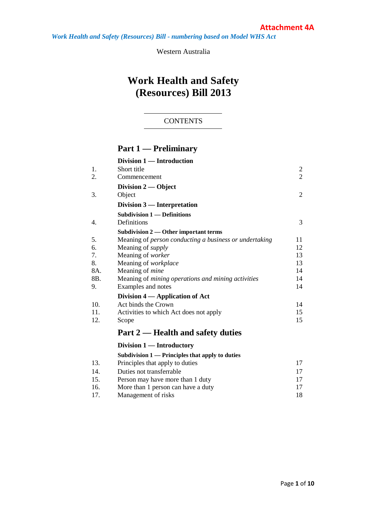*Work Health and Safety (Resources) Bill - numbering based on Model WHS Act*

Western Australia

# **Work Health and Safety (Resources) Bill 2013**

### **CONTENTS**

# **Part 1 — Preliminary**

|     | Division 1 - Introduction                              |                |
|-----|--------------------------------------------------------|----------------|
| 1.  | Short title                                            | $\overline{c}$ |
| 2.  | Commencement                                           | $\overline{2}$ |
|     | Division 2 — Object                                    |                |
| 3.  | Object                                                 | $\overline{2}$ |
|     | Division 3 — Interpretation                            |                |
|     | <b>Subdivision 1 — Definitions</b>                     |                |
| 4.  | Definitions                                            | 3              |
|     | Subdivision $2$ — Other important terms                |                |
| 5.  | Meaning of person conducting a business or undertaking | 11             |
| 6.  | Meaning of <i>supply</i>                               | 12             |
| 7.  | Meaning of worker                                      | 13             |
| 8.  | Meaning of workplace                                   | 13             |
| 8A. | Meaning of <i>mine</i>                                 | 14             |
| 8B. | Meaning of mining operations and mining activities     | 14             |
| 9.  | Examples and notes                                     | 14             |
|     | Division 4 — Application of Act                        |                |
| 10. | Act binds the Crown                                    | 14             |
| 11. | Activities to which Act does not apply                 | 15             |
| 12. | Scope                                                  | 15             |
|     | Part 2 — Health and safety duties                      |                |
|     | Division 1 — Introductory                              |                |
|     | Subdivision 1 — Principles that apply to duties        |                |
| 13. | Principles that apply to duties                        | 17             |
| 14. | Duties not transferrable                               | 17             |
| 15. | Person may have more than 1 duty                       | 17             |

| 1 J . | I CLSOTT THEY THEY CHILLED THEIR T GULY |  |
|-------|-----------------------------------------|--|
| 16.   | More than 1 person can have a duty      |  |
| 17.   | Management of risks                     |  |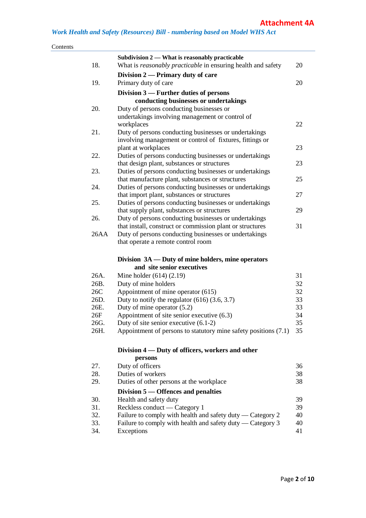|      | Subdivision 2 - What is reasonably practicable                                              |    |
|------|---------------------------------------------------------------------------------------------|----|
| 18.  | What is reasonably practicable in ensuring health and safety                                | 20 |
|      | Division 2 — Primary duty of care                                                           |    |
| 19.  | Primary duty of care                                                                        | 20 |
|      | Division $3$ — Further duties of persons                                                    |    |
|      | conducting businesses or undertakings                                                       |    |
| 20.  | Duty of persons conducting businesses or                                                    |    |
|      | undertakings involving management or control of                                             |    |
|      | workplaces                                                                                  | 22 |
| 21.  | Duty of persons conducting businesses or undertakings                                       |    |
|      | involving management or control of fixtures, fittings or                                    |    |
|      | plant at workplaces                                                                         | 23 |
| 22.  | Duties of persons conducting businesses or undertakings                                     |    |
|      | that design plant, substances or structures                                                 | 23 |
| 23.  | Duties of persons conducting businesses or undertakings                                     |    |
|      | that manufacture plant, substances or structures                                            | 25 |
| 24.  | Duties of persons conducting businesses or undertakings                                     |    |
|      | that import plant, substances or structures                                                 | 27 |
| 25.  | Duties of persons conducting businesses or undertakings                                     |    |
|      | that supply plant, substances or structures                                                 | 29 |
| 26.  | Duty of persons conducting businesses or undertakings                                       |    |
|      | that install, construct or commission plant or structures                                   | 31 |
| 26AA | Duty of persons conducting businesses or undertakings<br>that operate a remote control room |    |
|      | Division 3A — Duty of mine holders, mine operators<br>and site senior executives            |    |
| 26A. | Mine holder $(614)$ $(2.19)$                                                                | 31 |
| 26B. | Duty of mine holders                                                                        | 32 |
| 26C  | Appointment of mine operator (615)                                                          | 32 |
| 26D. | Duty to notify the regulator $(616)$ $(3.6, 3.7)$                                           | 33 |
| 26E. | Duty of mine operator $(5.2)$                                                               | 33 |
| 26F  | Appointment of site senior executive (6.3)                                                  | 34 |
| 26G. | Duty of site senior executive $(6.1-2)$                                                     | 35 |
| 26H. | Appointment of persons to statutory mine safety positions (7.1) 35                          |    |
|      | Division 4 — Duty of officers, workers and other                                            |    |
|      | persons                                                                                     |    |
| 27.  | Duty of officers                                                                            | 36 |
| 28.  | Duties of workers                                                                           | 38 |
| 29.  | Duties of other persons at the workplace                                                    | 38 |
|      | Division 5 — Offences and penalties                                                         |    |
| 30.  | Health and safety duty                                                                      | 39 |
| 31.  | Reckless conduct — Category 1                                                               | 39 |
| 32.  | Failure to comply with health and safety duty — Category 2                                  | 40 |
| 33.  | Failure to comply with health and safety duty — Category 3                                  | 40 |
| 34.  | Exceptions                                                                                  | 41 |
|      |                                                                                             |    |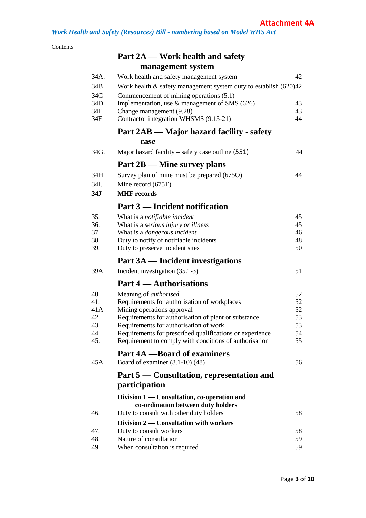| Contents |            |                                                                                                    |          |
|----------|------------|----------------------------------------------------------------------------------------------------|----------|
|          |            | Part 2A — Work health and safety                                                                   |          |
|          |            | management system                                                                                  |          |
|          | 34A.       | Work health and safety management system                                                           | 42       |
|          | 34B        | Work health $\&$ safety management system duty to establish $(620)42$                              |          |
|          | 34C        | Commencement of mining operations (5.1)                                                            |          |
|          | 34D        | Implementation, use $\&$ management of SMS (626)                                                   | 43       |
|          | 34E        | Change management (9.28)                                                                           | 43       |
|          | 34F        | Contractor integration WHSMS (9.15-21)                                                             | 44       |
|          |            | Part 2AB — Major hazard facility - safety                                                          |          |
|          |            | case                                                                                               |          |
|          | 34G.       | Major hazard facility – safety case outline $(551)$                                                | 44       |
|          |            | $Part 2B$ — Mine survey plans                                                                      |          |
|          | 34H        | Survey plan of mine must be prepared (675O)                                                        | 44       |
|          | 34I.       | Mine record (675T)                                                                                 |          |
|          | 34J        | <b>MHF</b> records                                                                                 |          |
|          |            | Part 3 — Incident notification                                                                     |          |
|          | 35.        | What is a notifiable incident                                                                      | 45       |
|          | 36.        | What is a serious injury or illness                                                                | 45       |
|          | 37.        | What is a <i>dangerous</i> incident                                                                | 46       |
|          | 38.        | Duty to notify of notifiable incidents                                                             | 48       |
|          | 39.        | Duty to preserve incident sites                                                                    | 50       |
|          |            | Part 3A — Incident investigations                                                                  |          |
|          | 39A        | Incident investigation (35.1-3)                                                                    | 51       |
|          |            | Part 4 — Authorisations                                                                            |          |
|          | 40.        | Meaning of <i>authorised</i>                                                                       | 52       |
|          | 41.        | Requirements for authorisation of workplaces                                                       | 52       |
|          | 41A        | Mining operations approval                                                                         | 52       |
|          | 42.        | Requirements for authorisation of plant or substance                                               | 53       |
|          | 43.<br>44. | Requirements for authorisation of work<br>Requirements for prescribed qualifications or experience | 53<br>54 |
|          | 45.        | Requirement to comply with conditions of authorisation                                             | 55       |
|          |            | <b>Part 4A</b> - Board of examiners                                                                |          |
|          | 45A        | Board of examiner $(8.1-10)$ $(48)$                                                                | 56       |
|          |            |                                                                                                    |          |
|          |            | Part 5 — Consultation, representation and<br>participation                                         |          |
|          |            |                                                                                                    |          |
|          |            | Division 1 — Consultation, co-operation and                                                        |          |
|          | 46.        | co-ordination between duty holders<br>Duty to consult with other duty holders                      | 58       |
|          |            | Division 2 — Consultation with workers                                                             |          |
|          | 47.        | Duty to consult workers                                                                            | 58       |
|          | 48.        | Nature of consultation                                                                             | 59       |
|          | 49.        | When consultation is required                                                                      | 59       |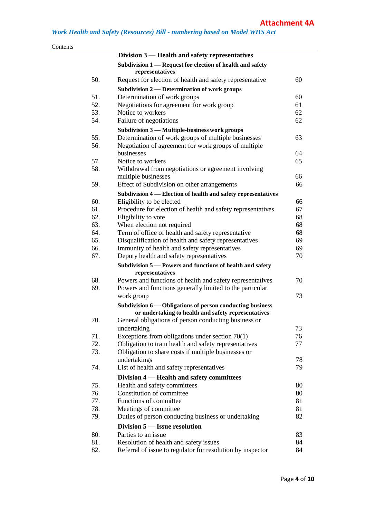| Contents |            |                                                                                                             |          |
|----------|------------|-------------------------------------------------------------------------------------------------------------|----------|
|          |            | Division 3 — Health and safety representatives                                                              |          |
|          |            | Subdivision 1 — Request for election of health and safety<br>representatives                                |          |
|          | 50.        | Request for election of health and safety representative                                                    | 60       |
|          |            | Subdivision 2 — Determination of work groups                                                                |          |
|          | 51.        | Determination of work groups                                                                                | 60       |
|          | 52.        | Negotiations for agreement for work group                                                                   | 61       |
|          | 53.        | Notice to workers                                                                                           | 62       |
|          | 54.        | Failure of negotiations                                                                                     | 62       |
|          |            | Subdivision 3 - Multiple-business work groups                                                               |          |
|          | 55.        | Determination of work groups of multiple businesses                                                         | 63       |
|          | 56.        | Negotiation of agreement for work groups of multiple                                                        |          |
|          |            | businesses                                                                                                  | 64       |
|          | 57.        | Notice to workers                                                                                           | 65       |
|          | 58.        | Withdrawal from negotiations or agreement involving                                                         |          |
|          |            | multiple businesses                                                                                         | 66       |
|          | 59.        | Effect of Subdivision on other arrangements                                                                 | 66       |
|          |            | Subdivision 4 — Election of health and safety representatives                                               |          |
|          | 60.        | Eligibility to be elected                                                                                   | 66       |
|          | 61.        | Procedure for election of health and safety representatives                                                 | 67       |
|          | 62.        | Eligibility to vote                                                                                         | 68       |
|          | 63.        | When election not required                                                                                  | 68       |
|          | 64.        | Term of office of health and safety representative                                                          | 68       |
|          | 65.        | Disqualification of health and safety representatives                                                       | 69       |
|          | 66.        | Immunity of health and safety representatives                                                               | 69       |
|          | 67.        | Deputy health and safety representatives                                                                    | 70       |
|          |            | Subdivision 5 – Powers and functions of health and safety                                                   |          |
|          |            | representatives                                                                                             |          |
|          | 68.        | Powers and functions of health and safety representatives                                                   | 70       |
|          | 69.        | Powers and functions generally limited to the particular                                                    | 73       |
|          |            | work group                                                                                                  |          |
|          |            | Subdivision 6 — Obligations of person conducting business                                                   |          |
|          | 70.        | or undertaking to health and safety representatives<br>General obligations of person conducting business or |          |
|          |            | undertaking                                                                                                 | 73       |
|          | 71.        | Exceptions from obligations under section $70(1)$                                                           | 76       |
|          | 72.        | Obligation to train health and safety representatives                                                       | 77       |
|          | 73.        | Obligation to share costs if multiple businesses or                                                         |          |
|          |            | undertakings                                                                                                | 78       |
|          | 74.        | List of health and safety representatives                                                                   | 79       |
|          |            | Division 4 — Health and safety committees                                                                   |          |
|          | 75.        | Health and safety committees                                                                                | 80       |
|          | 76.        | Constitution of committee                                                                                   | 80       |
|          | 77.        | Functions of committee                                                                                      | 81       |
|          | 78.        | Meetings of committee                                                                                       | 81       |
|          | 79.        | Duties of person conducting business or undertaking                                                         | 82       |
|          |            |                                                                                                             |          |
|          |            | Division 5 — Issue resolution                                                                               |          |
|          | 80.<br>81. | Parties to an issue                                                                                         | 83<br>84 |
|          | 82.        | Resolution of health and safety issues<br>Referral of issue to regulator for resolution by inspector        | 84       |
|          |            |                                                                                                             |          |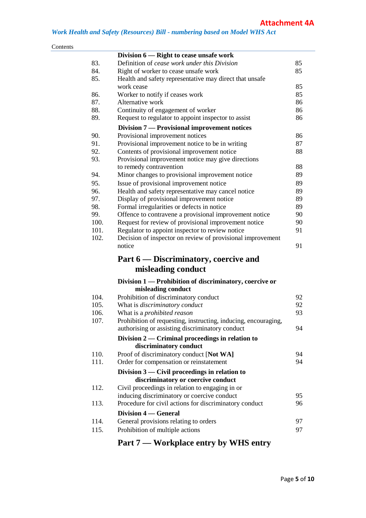## *Work Health and Safety (Resources) Bill - numbering based on Model WHS Act*

| Contents |
|----------|
|----------|

|      | Division 6 — Right to cease unsafe work                        |    |
|------|----------------------------------------------------------------|----|
| 83.  | Definition of cease work under this Division                   | 85 |
| 84.  | Right of worker to cease unsafe work                           | 85 |
| 85.  | Health and safety representative may direct that unsafe        |    |
|      | work cease                                                     | 85 |
| 86.  | Worker to notify if ceases work                                | 85 |
| 87.  | Alternative work                                               | 86 |
| 88.  | Continuity of engagement of worker                             | 86 |
| 89.  | Request to regulator to appoint inspector to assist            | 86 |
|      | Division 7 - Provisional improvement notices                   |    |
| 90.  | Provisional improvement notices                                | 86 |
| 91.  | Provisional improvement notice to be in writing                | 87 |
| 92.  | Contents of provisional improvement notice                     | 88 |
| 93.  | Provisional improvement notice may give directions             |    |
|      | to remedy contravention                                        | 88 |
| 94.  | Minor changes to provisional improvement notice                | 89 |
| 95.  | Issue of provisional improvement notice                        | 89 |
| 96.  | Health and safety representative may cancel notice             | 89 |
| 97.  | Display of provisional improvement notice                      | 89 |
| 98.  | Formal irregularities or defects in notice                     | 89 |
| 99.  | Offence to contravene a provisional improvement notice         | 90 |
| 100. | Request for review of provisional improvement notice           | 90 |
| 101. | Regulator to appoint inspector to review notice                | 91 |
| 102. | Decision of inspector on review of provisional improvement     |    |
|      | notice                                                         | 91 |
|      | Part 6 — Discriminatory, coercive and                          |    |
|      | misleading conduct                                             |    |
|      | Division 1 — Prohibition of discriminatory, coercive or        |    |
|      | misleading conduct                                             |    |
| 104. | Prohibition of discriminatory conduct                          | 92 |
| 105. | What is discriminatory conduct                                 | 92 |
| 106. | What is a <i>prohibited reason</i>                             | 93 |
| 107. | Prohibition of requesting, instructing, inducing, encouraging, |    |
|      | authorising or assisting discriminatory conduct                | 94 |
|      | Division $2$ — Criminal proceedings in relation to             |    |
|      | discriminatory conduct                                         |    |
| 110. | Proof of discriminatory conduct [Not WA]                       | 94 |
| 111. | Order for compensation or reinstatement                        | 94 |
|      | Division 3 — Civil proceedings in relation to                  |    |
|      | discriminatory or coercive conduct                             |    |
| 112. | Civil proceedings in relation to engaging in or                |    |
|      | inducing discriminatory or coercive conduct                    | 95 |
| 113. | Procedure for civil actions for discriminatory conduct         | 96 |
|      | <b>Division 4 – General</b>                                    |    |
| 114. | General provisions relating to orders                          | 97 |
| 115. | Prohibition of multiple actions                                | 97 |
|      |                                                                |    |

# **Part 7 — Workplace entry by WHS entry**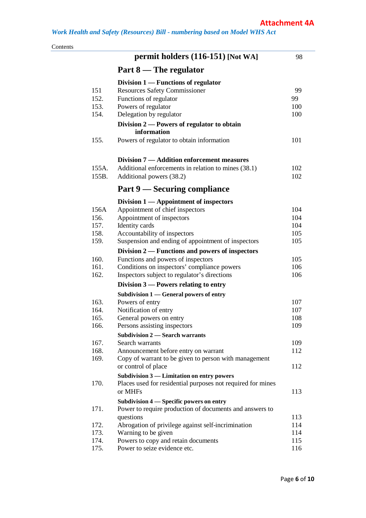| Contents |       |                                                                              |     |
|----------|-------|------------------------------------------------------------------------------|-----|
|          |       | permit holders (116-151) [Not WA]                                            | 98  |
|          |       | Part 8 — The regulator                                                       |     |
|          |       | Division $1$ — Functions of regulator                                        |     |
|          | 151   | Resources Safety Commissioner                                                | 99  |
|          | 152.  | Functions of regulator                                                       | 99  |
|          | 153.  | Powers of regulator                                                          | 100 |
|          | 154.  | Delegation by regulator                                                      | 100 |
|          |       | Division 2 – Powers of regulator to obtain<br>information                    |     |
|          | 155.  | Powers of regulator to obtain information                                    | 101 |
|          |       | Division 7 — Addition enforcement measures                                   |     |
|          | 155A. | Additional enforcements in relation to mines (38.1)                          | 102 |
|          | 155B. | Additional powers (38.2)                                                     | 102 |
|          |       | Part 9 — Securing compliance                                                 |     |
|          |       | Division $1 -$ Appointment of inspectors                                     |     |
|          | 156A  | Appointment of chief inspectors                                              | 104 |
|          | 156.  | Appointment of inspectors                                                    | 104 |
|          | 157.  | Identity cards                                                               | 104 |
|          | 158.  | Accountability of inspectors                                                 | 105 |
|          | 159.  | Suspension and ending of appointment of inspectors                           | 105 |
|          |       | Division $2$ — Functions and powers of inspectors                            |     |
|          | 160.  | Functions and powers of inspectors                                           | 105 |
|          | 161.  | Conditions on inspectors' compliance powers                                  | 106 |
|          | 162.  | Inspectors subject to regulator's directions                                 | 106 |
|          |       | Division $3$ — Powers relating to entry                                      |     |
|          |       | Subdivision 1 — General powers of entry                                      |     |
|          | 163.  | Powers of entry                                                              | 107 |
|          | 164.  | Notification of entry                                                        | 107 |
|          | 165.  | General powers on entry                                                      | 108 |
|          | 166.  | Persons assisting inspectors                                                 | 109 |
|          |       | <b>Subdivision 2 — Search warrants</b>                                       |     |
|          | 167.  | Search warrants                                                              | 109 |
|          | 168.  | Announcement before entry on warrant                                         | 112 |
|          | 169.  | Copy of warrant to be given to person with management<br>or control of place | 112 |
|          |       | Subdivision 3 - Limitation on entry powers                                   |     |
|          | 170.  | Places used for residential purposes not required for mines<br>or MHFs       | 113 |
|          |       | Subdivision 4 - Specific powers on entry                                     |     |
|          | 171.  | Power to require production of documents and answers to                      |     |
|          |       | questions                                                                    | 113 |
|          | 172.  | Abrogation of privilege against self-incrimination                           | 114 |
|          | 173.  | Warning to be given                                                          | 114 |
|          | 174.  | Powers to copy and retain documents                                          | 115 |
|          | 175.  | Power to seize evidence etc.                                                 | 116 |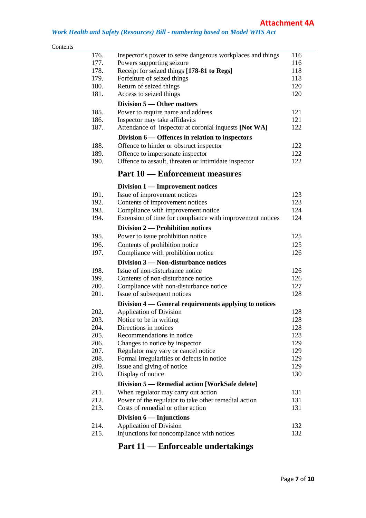#### *Work Health and Safety (Resources) Bill - numbering based on Model WHS Act*

#### Contents

| 176. | Inspector's power to seize dangerous workplaces and things | 116 |
|------|------------------------------------------------------------|-----|
| 177. | Powers supporting seizure                                  | 116 |
| 178. | Receipt for seized things [178-81 to Regs]                 | 118 |
| 179. | Forfeiture of seized things                                | 118 |
| 180. | Return of seized things                                    | 120 |
| 181. | Access to seized things                                    | 120 |
|      | Division 5 — Other matters                                 |     |
| 185. | Power to require name and address                          | 121 |
| 186. | Inspector may take affidavits                              | 121 |
| 187. | Attendance of inspector at coronial inquests [Not WA]      | 122 |
|      | Division 6 — Offences in relation to inspectors            |     |
| 188. | Offence to hinder or obstruct inspector                    | 122 |
| 189. | Offence to impersonate inspector                           | 122 |
| 190. | Offence to assault, threaten or intimidate inspector       | 122 |
|      | <b>Part 10 — Enforcement measures</b>                      |     |
|      | Division 1 — Improvement notices                           |     |
| 191. | Issue of improvement notices                               | 123 |
| 192. | Contents of improvement notices                            | 123 |
| 193. | Compliance with improvement notice                         | 124 |
| 194. | Extension of time for compliance with improvement notices  | 124 |
|      | Division 2 — Prohibition notices                           |     |
| 195. | Power to issue prohibition notice                          | 125 |
| 196. |                                                            | 125 |
| 197. | Contents of prohibition notice                             | 126 |
|      | Compliance with prohibition notice                         |     |
|      | Division 3 – Non-disturbance notices                       |     |
| 198. | Issue of non-disturbance notice                            | 126 |
| 199. | Contents of non-disturbance notice                         | 126 |
| 200. | Compliance with non-disturbance notice                     | 127 |
| 201. | Issue of subsequent notices                                | 128 |
|      | Division 4 — General requirements applying to notices      |     |
| 202. | <b>Application of Division</b>                             | 128 |
| 203. | Notice to be in writing                                    | 128 |
| 204. | Directions in notices                                      | 128 |
| 205. | Recommendations in notice                                  | 128 |
| 206. | Changes to notice by inspector                             | 129 |
| 207. | Regulator may vary or cancel notice                        | 129 |
| 208. | Formal irregularities or defects in notice                 | 129 |
| 209. | Issue and giving of notice                                 | 129 |
| 210. | Display of notice                                          | 130 |
|      | Division 5 — Remedial action [WorkSafe delete]             |     |
| 211. | When regulator may carry out action                        | 131 |
| 212. | Power of the regulator to take other remedial action       | 131 |
| 213. | Costs of remedial or other action                          | 131 |
|      | Division $6$ — Injunctions                                 |     |
| 214. | <b>Application of Division</b>                             | 132 |
| 215. | Injunctions for noncompliance with notices                 | 132 |

# **Part 11 — Enforceable undertakings**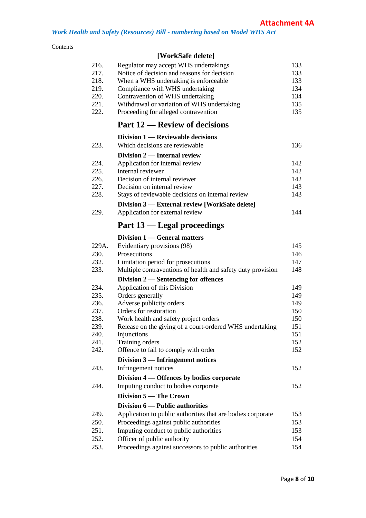#### Contents

|       | [WorkSafe delete]                                           |     |
|-------|-------------------------------------------------------------|-----|
| 216.  | Regulator may accept WHS undertakings                       | 133 |
| 217.  | Notice of decision and reasons for decision                 | 133 |
| 218.  | When a WHS undertaking is enforceable                       | 133 |
| 219.  | Compliance with WHS undertaking                             | 134 |
| 220.  | Contravention of WHS undertaking                            | 134 |
| 221.  | Withdrawal or variation of WHS undertaking                  | 135 |
| 222.  | Proceeding for alleged contravention                        | 135 |
|       | Part 12 — Review of decisions                               |     |
|       | Division 1 — Reviewable decisions                           |     |
| 223.  | Which decisions are reviewable                              | 136 |
|       | Division 2 — Internal review                                |     |
| 224.  | Application for internal review                             | 142 |
| 225.  | Internal reviewer                                           | 142 |
| 226.  | Decision of internal reviewer                               | 142 |
| 227.  | Decision on internal review                                 | 143 |
| 228.  | Stays of reviewable decisions on internal review            | 143 |
|       | Division 3 — External review [WorkSafe delete]              |     |
| 229.  | Application for external review                             | 144 |
|       | Part 13 — Legal proceedings                                 |     |
|       | Division 1 — General matters                                |     |
| 229A. | Evidentiary provisions (98)                                 | 145 |
| 230.  | Prosecutions                                                | 146 |
| 232.  | Limitation period for prosecutions                          | 147 |
| 233.  | Multiple contraventions of health and safety duty provision | 148 |
|       | Division 2 — Sentencing for offences                        |     |
| 234.  | Application of this Division                                | 149 |
| 235.  | Orders generally                                            | 149 |
| 236.  | Adverse publicity orders                                    | 149 |
| 237.  | Orders for restoration                                      | 150 |
| 238.  | Work health and safety project orders                       | 150 |
| 239.  | Release on the giving of a court-ordered WHS undertaking    | 151 |
| 240.  | Injunctions                                                 | 151 |
| 241.  | Training orders                                             | 152 |
| 242.  | Offence to fail to comply with order                        | 152 |
|       | Division $3$ — Infringement notices                         |     |
| 243.  | Infringement notices                                        | 152 |
|       | Division 4 - Offences by bodies corporate                   |     |
| 244.  | Imputing conduct to bodies corporate                        | 152 |
|       | Division 5 — The Crown                                      |     |
|       | Division 6 — Public authorities                             |     |
| 249.  | Application to public authorities that are bodies corporate | 153 |
| 250.  | Proceedings against public authorities                      | 153 |
| 251.  | Imputing conduct to public authorities                      | 153 |
| 252.  | Officer of public authority                                 | 154 |
| 253.  | Proceedings against successors to public authorities        | 154 |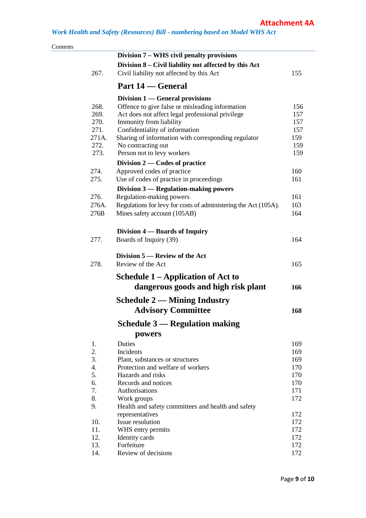| Contents |       |                                                                 |            |
|----------|-------|-----------------------------------------------------------------|------------|
|          |       | Division 7 – WHS civil penalty provisions                       |            |
|          |       | Division 8 – Civil liability not affected by this Act           |            |
|          | 267.  | Civil liability not affected by this Act                        | 155        |
|          |       | Part 14 — General                                               |            |
|          |       | Division $1$ — General provisions                               |            |
|          | 268.  | Offence to give false or misleading information                 | 156        |
|          | 269.  | Act does not affect legal professional privilege                | 157        |
|          | 270.  | Immunity from liability                                         | 157        |
|          | 271.  | Confidentiality of information                                  | 157        |
|          | 271A. | Sharing of information with corresponding regulator             | 159        |
|          | 272.  | No contracting out                                              | 159        |
|          | 273.  | Person not to levy workers                                      | 159        |
|          |       | Division $2$ — Codes of practice                                |            |
|          | 274.  | Approved codes of practice                                      | 160        |
|          | 275.  | Use of codes of practice in proceedings                         | 161        |
|          |       | Division 3 — Regulation-making powers                           |            |
|          | 276.  | Regulation-making powers                                        | 161        |
|          | 276A. | Regulations for levy for costs of administering the Act (105A). | 163        |
|          | 276B  | Mines safety account (105AB)                                    | 164        |
|          |       | Division 4 — Boards of Inquiry                                  |            |
|          | 277.  | Boards of Inquiry (39)                                          | 164        |
|          |       | Division 5 — Review of the Act                                  |            |
|          | 278.  | Review of the Act                                               | 165        |
|          |       |                                                                 |            |
|          |       | <b>Schedule 1 – Application of Act to</b>                       |            |
|          |       | dangerous goods and high risk plant                             | 166        |
|          |       | <b>Schedule 2 — Mining Industry</b>                             |            |
|          |       | <b>Advisory Committee</b>                                       | 168        |
|          |       | <b>Schedule 3 — Regulation making</b>                           |            |
|          |       | powers                                                          |            |
|          | 1.    | Duties                                                          | 169        |
|          | 2.    | Incidents                                                       | 169        |
|          | 3.    | Plant, substances or structures                                 | 169        |
|          | 4.    | Protection and welfare of workers                               | 170        |
|          | 5.    | Hazards and risks                                               | 170        |
|          | 6.    | Records and notices                                             | 170        |
|          | 7.    | Authorisations                                                  | 171        |
|          | 8.    | Work groups                                                     | 172        |
|          | 9.    | Health and safety committees and health and safety              |            |
|          | 10.   | representatives<br>Issue resolution                             | 172<br>172 |
|          | 11.   | WHS entry permits                                               | 172        |
|          | 12.   | Identity cards                                                  | 172        |
|          | 13.   | Forfeiture                                                      | 172        |
|          | 14.   | Review of decisions                                             | 172        |
|          |       |                                                                 |            |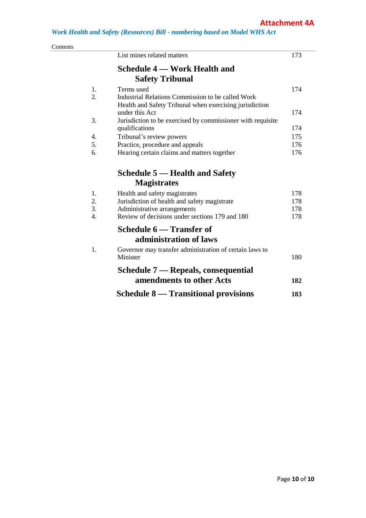| Contents         | List mines related matters                                  | 173 |
|------------------|-------------------------------------------------------------|-----|
|                  | <b>Schedule 4 – Work Health and</b>                         |     |
|                  |                                                             |     |
|                  | <b>Safety Tribunal</b>                                      |     |
| 1.               | Terms used                                                  | 174 |
| $\overline{2}$ . | Industrial Relations Commission to be called Work           |     |
|                  | Health and Safety Tribunal when exercising jurisdiction     |     |
|                  | under this Act                                              | 174 |
| 3.               | Jurisdiction to be exercised by commissioner with requisite |     |
|                  | qualifications                                              | 174 |
| 4.               | Tribunal's review powers                                    | 175 |
| 5.               | Practice, procedure and appeals                             | 176 |
| 6.               | Hearing certain claims and matters together                 | 176 |
|                  | <b>Schedule 5 — Health and Safety</b>                       |     |
|                  | <b>Magistrates</b>                                          |     |
| 1.               | Health and safety magistrates                               | 178 |
| 2.               | Jurisdiction of health and safety magistrate                | 178 |
| $\overline{3}$ . | Administrative arrangements                                 | 178 |
| 4.               | Review of decisions under sections 179 and 180              | 178 |
|                  | Schedule 6 — Transfer of                                    |     |
|                  | administration of laws                                      |     |
| 1.               | Governor may transfer administration of certain laws to     |     |
|                  | Minister                                                    | 180 |
|                  | Schedule 7 — Repeals, consequential                         |     |
|                  | amendments to other Acts                                    | 182 |
|                  | <b>Schedule 8 — Transitional provisions</b>                 | 183 |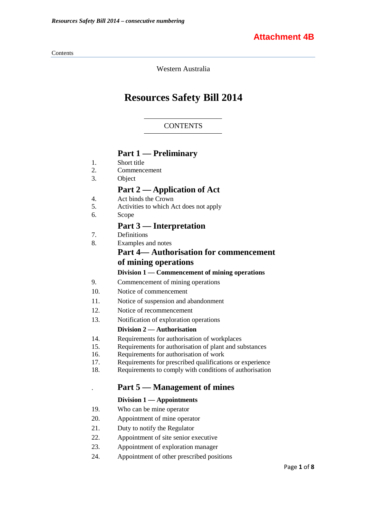#### Contents

Western Australia

# **Resources Safety Bill 2014**

#### **CONTENTS**

### **Part 1 — Preliminary**

- 1. Short title
- 2. Commencement
- 3. Object

# **Part 2 — Application of Act**

- 4. Act binds the Crown<br>5. Activities to which A
- 5. Activities to which Act does not apply
- 6. Scope

### **Part 3 — Interpretation**

- 7. Definitions
- 8. Examples and notes

# **Part 4— Authorisation for commencement of mining operations**

#### **Division 1 — Commencement of mining operations**

- 9. Commencement of mining operations
- 10. Notice of commencement
- 11. Notice of suspension and abandonment
- 12. Notice of recommencement
- 13. Notification of exploration operations

#### **Division 2 — Authorisation**

- 14. Requirements for authorisation of workplaces<br>15. Requirements for authorisation of plant and su
- Requirements for authorisation of plant and substances
- 16. Requirements for authorisation of work
- 17. Requirements for prescribed qualifications or experience
- 18. Requirements to comply with conditions of authorisation

# . **Part 5 — Management of mines**

#### **Division 1 — Appointments**

- 19. Who can be mine operator
- 20. Appointment of mine operator
- 21. Duty to notify the Regulator
- 22. Appointment of site senior executive
- 23. Appointment of exploration manager
- 24. Appointment of other prescribed positions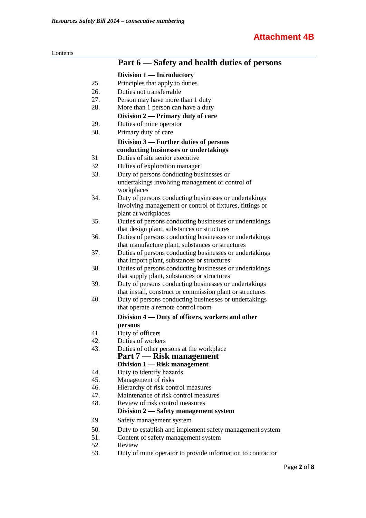| oments |  |
|--------|--|
|        |  |

|     | Part 6 – Safety and health duties of persons                                                                       |
|-----|--------------------------------------------------------------------------------------------------------------------|
|     | Division 1 — Introductory                                                                                          |
| 25. | Principles that apply to duties                                                                                    |
| 26. | Duties not transferrable                                                                                           |
| 27. | Person may have more than 1 duty                                                                                   |
| 28. | More than 1 person can have a duty                                                                                 |
|     | Division 2 — Primary duty of care                                                                                  |
| 29. | Duties of mine operator                                                                                            |
| 30. | Primary duty of care                                                                                               |
|     | Division 3 — Further duties of persons                                                                             |
|     | conducting businesses or undertakings                                                                              |
| 31  | Duties of site senior executive                                                                                    |
| 32  | Duties of exploration manager                                                                                      |
| 33. | Duty of persons conducting businesses or                                                                           |
|     | undertakings involving management or control of                                                                    |
|     | workplaces                                                                                                         |
| 34. | Duty of persons conducting businesses or undertakings                                                              |
|     | involving management or control of fixtures, fittings or                                                           |
|     | plant at workplaces                                                                                                |
| 35. | Duties of persons conducting businesses or undertakings                                                            |
|     | that design plant, substances or structures                                                                        |
| 36. | Duties of persons conducting businesses or undertakings                                                            |
|     | that manufacture plant, substances or structures                                                                   |
| 37. | Duties of persons conducting businesses or undertakings                                                            |
|     | that import plant, substances or structures                                                                        |
| 38. | Duties of persons conducting businesses or undertakings                                                            |
|     | that supply plant, substances or structures                                                                        |
| 39. | Duty of persons conducting businesses or undertakings                                                              |
| 40. | that install, construct or commission plant or structures<br>Duty of persons conducting businesses or undertakings |
|     | that operate a remote control room                                                                                 |
|     |                                                                                                                    |
|     | Division 4 — Duty of officers, workers and other                                                                   |
| 41. | persons<br>Duty of officers                                                                                        |
| 42. | Duties of workers                                                                                                  |
| 43. | Duties of other persons at the workplace                                                                           |
|     | Part 7 — Risk management                                                                                           |
|     | Division 1 — Risk management                                                                                       |
| 44. | Duty to identify hazards                                                                                           |
| 45. | Management of risks                                                                                                |
| 46. | Hierarchy of risk control measures                                                                                 |
| 47. | Maintenance of risk control measures                                                                               |
| 48. | Review of risk control measures                                                                                    |
|     | Division 2 — Safety management system                                                                              |
| 49. | Safety management system                                                                                           |
| 50. | Duty to establish and implement safety management system                                                           |
| 51. | Content of safety management system                                                                                |
| 52. | Review                                                                                                             |
| 53. | Duty of mine operator to provide information to contractor                                                         |
|     |                                                                                                                    |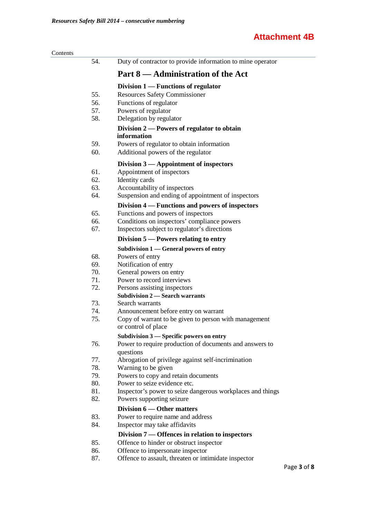| Contents |     |                                                            |
|----------|-----|------------------------------------------------------------|
|          | 54. | Duty of contractor to provide information to mine operator |
|          |     | Part 8 — Administration of the Act                         |
|          |     | Division $1$ — Functions of regulator                      |
|          | 55. | <b>Resources Safety Commissioner</b>                       |
|          | 56. | Functions of regulator                                     |
|          | 57. | Powers of regulator                                        |
|          | 58. | Delegation by regulator                                    |
|          |     | Division 2 — Powers of regulator to obtain                 |
|          |     | information                                                |
|          | 59. | Powers of regulator to obtain information                  |
|          | 60. | Additional powers of the regulator                         |
|          |     | Division $3$ — Appointment of inspectors                   |
|          | 61. | Appointment of inspectors                                  |
|          | 62. | Identity cards                                             |
|          | 63. | Accountability of inspectors                               |
|          | 64. | Suspension and ending of appointment of inspectors         |
|          |     | Division 4 — Functions and powers of inspectors            |
|          | 65. | Functions and powers of inspectors                         |
|          | 66. | Conditions on inspectors' compliance powers                |
|          | 67. | Inspectors subject to regulator's directions               |
|          |     | Division $5$ — Powers relating to entry                    |
|          |     | Subdivision $1$ — General powers of entry                  |
|          | 68. | Powers of entry                                            |
|          | 69. | Notification of entry                                      |
|          | 70. | General powers on entry                                    |
|          | 71. | Power to record interviews                                 |
|          | 72. | Persons assisting inspectors                               |
|          |     | <b>Subdivision 2 — Search warrants</b>                     |
|          | 73. | Search warrants                                            |
|          | 74. | Announcement before entry on warrant                       |
|          | 75. | Copy of warrant to be given to person with management      |
|          |     | or control of place                                        |
|          |     | Subdivision 3 - Specific powers on entry                   |
|          | 76. | Power to require production of documents and answers to    |
|          |     | questions                                                  |
|          | 77. | Abrogation of privilege against self-incrimination         |
|          | 78. | Warning to be given                                        |
|          | 79. | Powers to copy and retain documents                        |
|          | 80. | Power to seize evidence etc.                               |
|          | 81. | Inspector's power to seize dangerous workplaces and things |
|          | 82. | Powers supporting seizure                                  |
|          |     | Division 6 — Other matters                                 |
|          | 83. | Power to require name and address                          |
|          | 84. | Inspector may take affidavits                              |
|          |     | Division 7 — Offences in relation to inspectors            |
|          | 85. | Offence to hinder or obstruct inspector                    |
|          | 86. | Offence to impersonate inspector                           |
|          | 87. | Offence to assault, threaten or intimidate inspector       |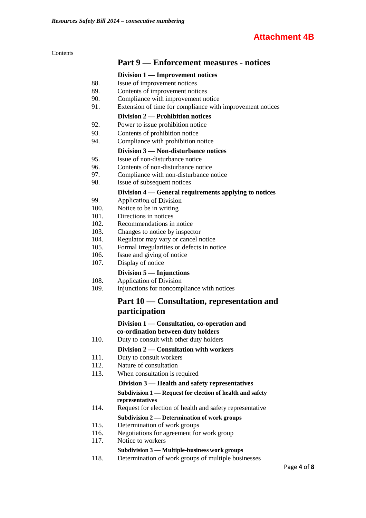| ι٣ι<br>ı<br><br>$-$ |  |
|---------------------|--|
|                     |  |

|              | <b>Part 9 — Enforcement measures - notices</b>              |
|--------------|-------------------------------------------------------------|
|              | Division 1 — Improvement notices                            |
| 88.          | Issue of improvement notices                                |
| 89.          | Contents of improvement notices                             |
| 90.          | Compliance with improvement notice                          |
| 91.          | Extension of time for compliance with improvement notices   |
|              | Division 2 — Prohibition notices                            |
| 92.          | Power to issue prohibition notice                           |
| 93.          | Contents of prohibition notice                              |
| 94.          | Compliance with prohibition notice                          |
|              | Division 3 – Non-disturbance notices                        |
| 95.          | Issue of non-disturbance notice                             |
| 96.          | Contents of non-disturbance notice                          |
| 97.          | Compliance with non-disturbance notice                      |
| 98.          | Issue of subsequent notices                                 |
|              | Division 4 — General requirements applying to notices       |
| 99.          | <b>Application of Division</b>                              |
| 100.         | Notice to be in writing                                     |
| 101.         | Directions in notices                                       |
| 102.<br>103. | Recommendations in notice<br>Changes to notice by inspector |
| 104.         | Regulator may vary or cancel notice                         |
| 105.         | Formal irregularities or defects in notice                  |
| 106.         | Issue and giving of notice                                  |
| 107.         | Display of notice                                           |
|              | Division $5$ — Injunctions                                  |
| 108.         | <b>Application of Division</b>                              |
| 109.         | Injunctions for noncompliance with notices                  |
|              | Part 10 — Consultation, representation and                  |
|              | participation                                               |
|              | Division 1 — Consultation, co-operation and                 |
|              | co-ordination between duty holders                          |
| 110.         | Duty to consult with other duty holders                     |
|              | Division 2 — Consultation with workers                      |
| 111.         | Duty to consult workers                                     |
| 112.         | Nature of consultation                                      |
| 113.         | When consultation is required                               |
|              | Division 3 — Health and safety representatives              |
|              | Subdivision 1 — Request for election of health and safety   |
|              | representatives                                             |
| 114.         | Request for election of health and safety representative    |
|              | Subdivision 2 — Determination of work groups                |
| 115.         | Determination of work groups                                |
| 116.         | Negotiations for agreement for work group                   |
| 117.         | Notice to workers                                           |
|              | Subdivision 3 - Multiple-business work groups               |
| 118.         | Determination of work groups of multiple businesses         |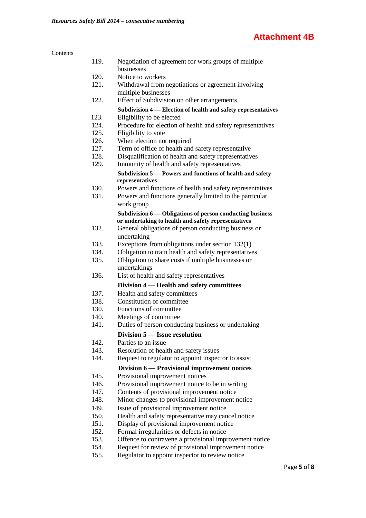| Contents |      |                                                                              |
|----------|------|------------------------------------------------------------------------------|
|          | 119. | Negotiation of agreement for work groups of multiple                         |
|          |      | businesses                                                                   |
|          | 120. | Notice to workers                                                            |
|          | 121. | Withdrawal from negotiations or agreement involving                          |
|          |      | multiple businesses                                                          |
|          | 122. | Effect of Subdivision on other arrangements                                  |
|          |      | Subdivision 4 - Election of health and safety representatives                |
|          | 123. | Eligibility to be elected                                                    |
|          | 124. | Procedure for election of health and safety representatives                  |
|          | 125. | Eligibility to vote                                                          |
|          | 126. | When election not required                                                   |
|          | 127. | Term of office of health and safety representative                           |
|          | 128. | Disqualification of health and safety representatives                        |
|          | 129. | Immunity of health and safety representatives                                |
|          |      | Subdivision 5 - Powers and functions of health and safety<br>representatives |
|          | 130. | Powers and functions of health and safety representatives                    |
|          | 131. | Powers and functions generally limited to the particular                     |
|          |      | work group                                                                   |
|          |      | Subdivision 6 — Obligations of person conducting business                    |
|          |      | or undertaking to health and safety representatives                          |
|          | 132. | General obligations of person conducting business or                         |
|          |      | undertaking                                                                  |
|          | 133. | Exceptions from obligations under section 132(1)                             |
|          | 134. | Obligation to train health and safety representatives                        |
|          | 135. | Obligation to share costs if multiple businesses or                          |
|          |      | undertakings                                                                 |
|          | 136. | List of health and safety representatives                                    |
|          |      | Division 4 – Health and safety committees                                    |
|          | 137. | Health and safety committees                                                 |
|          | 138. | Constitution of committee                                                    |
|          | 130. | Functions of committee                                                       |
|          | 140. | Meetings of committee                                                        |
|          | 141. | Duties of person conducting business or undertaking                          |
|          |      | Division 5 - Issue resolution                                                |
|          | 142. | Parties to an issue                                                          |
|          | 143. | Resolution of health and safety issues                                       |
|          | 144. | Request to regulator to appoint inspector to assist                          |
|          |      | Division 6 — Provisional improvement notices                                 |
|          | 145. | Provisional improvement notices                                              |
|          | 146. | Provisional improvement notice to be in writing                              |
|          | 147. | Contents of provisional improvement notice                                   |
|          | 148. | Minor changes to provisional improvement notice                              |
|          | 149. | Issue of provisional improvement notice                                      |
|          | 150. | Health and safety representative may cancel notice                           |
|          | 151. | Display of provisional improvement notice                                    |
|          | 152. | Formal irregularities or defects in notice                                   |
|          | 153. | Offence to contravene a provisional improvement notice                       |
|          | 154. | Request for review of provisional improvement notice                         |
|          | 155. | Regulator to appoint inspector to review notice                              |
|          |      |                                                                              |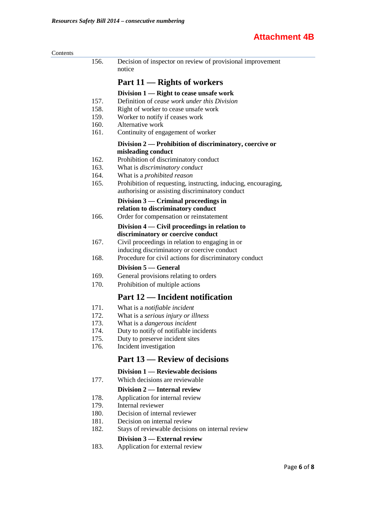| 156. | Decision of inspector on review of provisional improvement<br>notice          |
|------|-------------------------------------------------------------------------------|
|      | Part 11 — Rights of workers                                                   |
|      | Division 1 — Right to cease unsafe work                                       |
| 157. | Definition of cease work under this Division                                  |
| 158. | Right of worker to cease unsafe work                                          |
| 159. | Worker to notify if ceases work                                               |
| 160. | Alternative work                                                              |
| 161. | Continuity of engagement of worker                                            |
|      | Division 2 — Prohibition of discriminatory, coercive or<br>misleading conduct |
| 162. | Prohibition of discriminatory conduct                                         |
| 163. | What is discriminatory conduct                                                |
| 164. | What is a <i>prohibited reason</i>                                            |
| 165. | Prohibition of requesting, instructing, inducing, encouraging,                |
|      | authorising or assisting discriminatory conduct                               |
|      | Division $3$ — Criminal proceedings in                                        |
|      | relation to discriminatory conduct                                            |
| 166. | Order for compensation or reinstatement                                       |
|      | Division 4 — Civil proceedings in relation to                                 |
|      | discriminatory or coercive conduct                                            |
| 167. | Civil proceedings in relation to engaging in or                               |
|      | inducing discriminatory or coercive conduct                                   |
| 168. | Procedure for civil actions for discriminatory conduct                        |
|      | <b>Division 5 — General</b>                                                   |
| 169. | General provisions relating to orders                                         |
| 170. | Prohibition of multiple actions                                               |
|      | Part 12 — Incident notification                                               |
| 171. | What is a notifiable incident                                                 |
| 172. | What is a serious injury or illness                                           |
| 173. | What is a <i>dangerous</i> incident                                           |
| 174. | Duty to notify of notifiable incidents                                        |
| 175. | Duty to preserve incident sites                                               |
| 176. | Incident investigation                                                        |
|      | <b>Part 13 – Review of decisions</b>                                          |
|      | Division 1 — Reviewable decisions                                             |
| 177. | Which decisions are reviewable                                                |
|      | Division 2 — Internal review                                                  |
| 178. | Application for internal review                                               |
| 179. | Internal reviewer                                                             |
| 180. | Decision of internal reviewer                                                 |
| 181. | Decision on internal review                                                   |
| 182. | Stays of reviewable decisions on internal review                              |
|      | Division 3 — External review                                                  |
| 183. | Application for external review                                               |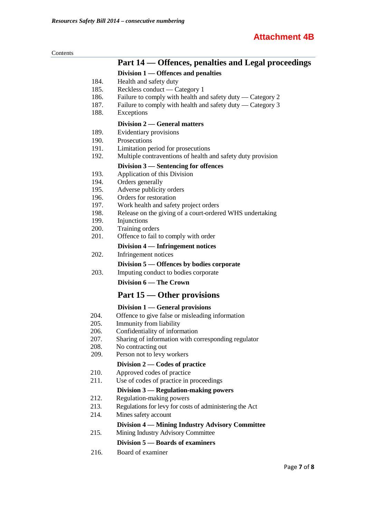| Contents |              |                                                                         |
|----------|--------------|-------------------------------------------------------------------------|
|          |              | Part 14 — Offences, penalties and Legal proceedings                     |
|          |              | Division 1 — Offences and penalties                                     |
|          | 184.         | Health and safety duty                                                  |
|          | 185.         | Reckless conduct — Category 1                                           |
|          | 186.         | Failure to comply with health and safety duty — Category 2              |
|          | 187.         | Failure to comply with health and safety duty — Category 3              |
|          | 188.         | Exceptions                                                              |
|          |              | Division 2 — General matters                                            |
|          | 189.         | Evidentiary provisions                                                  |
|          | 190.         | Prosecutions                                                            |
|          | 191.         | Limitation period for prosecutions                                      |
|          | 192.         | Multiple contraventions of health and safety duty provision             |
|          |              | Division 3 — Sentencing for offences                                    |
|          | 193.         | Application of this Division                                            |
|          | 194.         | Orders generally                                                        |
|          | 195.         | Adverse publicity orders                                                |
|          | 196.         | Orders for restoration                                                  |
|          | 197.<br>198. | Work health and safety project orders                                   |
|          | 199.         | Release on the giving of a court-ordered WHS undertaking<br>Injunctions |
|          | 200.         | Training orders                                                         |
|          | 201.         | Offence to fail to comply with order                                    |
|          |              | Division 4 — Infringement notices                                       |
|          | 202.         | Infringement notices                                                    |
|          |              | Division 5 – Offences by bodies corporate                               |
|          | 203.         | Imputing conduct to bodies corporate                                    |
|          |              | Division 6 - The Crown                                                  |
|          |              |                                                                         |
|          |              | Part 15 — Other provisions                                              |
|          |              | Division 1 — General provisions                                         |
|          | 204.<br>205. | Offence to give false or misleading information                         |
|          | 206.         | Immunity from liability<br>Confidentiality of information               |
|          | 207.         | Sharing of information with corresponding regulator                     |
|          | 208.         | No contracting out                                                      |
|          | 209.         | Person not to levy workers                                              |
|          |              | Division $2$ — Codes of practice                                        |
|          | 210.         | Approved codes of practice                                              |
|          | 211.         | Use of codes of practice in proceedings                                 |
|          |              | Division 3 — Regulation-making powers                                   |
|          | 212.         | Regulation-making powers                                                |
|          | 213.         | Regulations for levy for costs of administering the Act                 |
|          | 214.         | Mines safety account                                                    |
|          |              | Division 4 — Mining Industry Advisory Committee                         |
|          | 215.         | Mining Industry Advisory Committee                                      |
|          |              | Division 5 – Boards of examiners                                        |
|          | 216.         | Board of examiner                                                       |
|          |              |                                                                         |

# Page **7** of **8**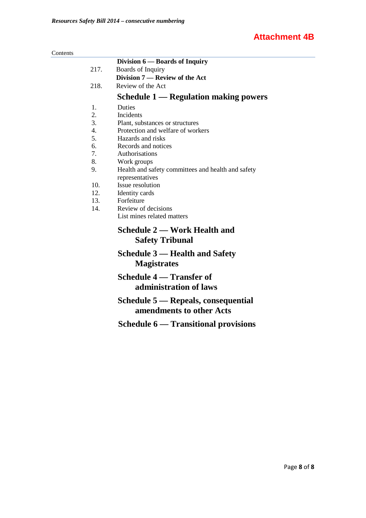#### Contents

|                  | Division 6 — Boards of Inquiry                     |  |  |  |
|------------------|----------------------------------------------------|--|--|--|
| 217.             | Boards of Inquiry                                  |  |  |  |
|                  | Division 7 — Review of the Act                     |  |  |  |
| 218.             | Review of the Act                                  |  |  |  |
|                  | <b>Schedule 1 — Regulation making powers</b>       |  |  |  |
| 1.               | Duties                                             |  |  |  |
| 2.               | Incidents                                          |  |  |  |
| 3.               | Plant, substances or structures                    |  |  |  |
| $\overline{4}$ . | Protection and welfare of workers                  |  |  |  |
| 5.               | Hazards and risks                                  |  |  |  |
| 6.               | Records and notices                                |  |  |  |
| 7.               | Authorisations                                     |  |  |  |
| 8.               | Work groups                                        |  |  |  |
| 9.               | Health and safety committees and health and safety |  |  |  |
|                  | representatives                                    |  |  |  |
| 10.              | Issue resolution                                   |  |  |  |
| 12.              | Identity cards                                     |  |  |  |
| 13.              | Forfeiture                                         |  |  |  |
| 14.              | Review of decisions                                |  |  |  |
|                  | List mines related matters                         |  |  |  |
|                  | <b>Schedule 2 — Work Health and</b>                |  |  |  |
|                  | <b>Safety Tribunal</b>                             |  |  |  |
|                  | Schedule 3 — Health and Safety                     |  |  |  |
|                  | <b>Magistrates</b>                                 |  |  |  |
|                  | Schedule 4 — Transfer of                           |  |  |  |
|                  | administration of laws                             |  |  |  |
|                  | Schedule 5 — Repeals, consequential                |  |  |  |
|                  | amendments to other Acts                           |  |  |  |
|                  | <b>Schedule 6 — Transitional provisions</b>        |  |  |  |
|                  |                                                    |  |  |  |
|                  |                                                    |  |  |  |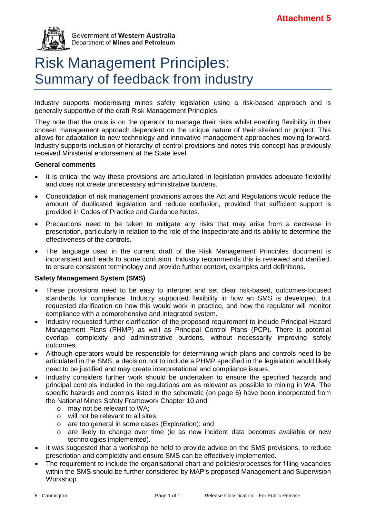

Government of Western Australia Department of Mines and Petroleum

# Risk Management Principles: Summary of feedback from industry

Industry supports modernising mines safety legislation using a risk-based approach and is generally supportive of the draft Risk Management Principles.

They note that the onus is on the operator to manage their risks whilst enabling flexibility in their chosen management approach dependent on the unique nature of their site/and or project. This allows for adaptation to new technology and innovative management approaches moving forward. Industry supports inclusion of hierarchy of control provisions and notes this concept has previously received Ministerial endorsement at the State level.

#### **General comments**

- It is critical the way these provisions are articulated in legislation provides adequate flexibility and does not create unnecessary administrative burdens.
- Consolidation of risk management provisions across the Act and Regulations would reduce the amount of duplicated legislation and reduce confusion, provided that sufficient support is provided in Codes of Practice and Guidance Notes.
- Precautions need to be taken to mitigate any risks that may arise from a decrease in prescription, particularly in relation to the role of the Inspectorate and its ability to determine the effectiveness of the controls.
- The language used in the current draft of the Risk Management Principles document is inconsistent and leads to some confusion. Industry recommends this is reviewed and clarified, to ensure consistent terminology and provide further context, examples and definitions.

#### **Safety Management System (SMS)**

- These provisions need to be easy to interpret and set clear risk-based, outcomes-focused standards for compliance. Industry supported flexibility in how an SMS is developed, but requested clarification on how this would work in practice, and how the regulator will monitor compliance with a comprehensive and integrated system.
- Industry requested further clarification of the proposed requirement to include Principal Hazard Management Plans (PHMP) as well as Principal Control Plans (PCP). There is potential overlap, complexity and administrative burdens, without necessarily improving safety outcomes.
- Although operators would be responsible for determining which plans and controls need to be articulated in the SMS, a decision not to include a PHMP specified in the legislation would likely need to be justified and may create interpretational and compliance issues.
- Industry considers further work should be undertaken to ensure the specified hazards and principal controls included in the regulations are as relevant as possible to mining in WA. The specific hazards and controls listed in the schematic (on page 6) have been incorporated from the National Mines Safety Framework Chapter 10 and:
	- o may not be relevant to WA;
	- o will not be relevant to all sites;<br>o are too general in some cases
	- o are too general in some cases (Exploration); and<br>o are likely to change over time (ie as new inci-
	- are likely to change over time (ie as new incident data becomes available or new technologies implemented).
- It was suggested that a workshop be held to provide advice on the SMS provisions, to reduce prescription and complexity and ensure SMS can be effectively implemented.
- The requirement to include the organisational chart and policies/processes for filling vacancies within the SMS should be further considered by MAP's proposed Management and Supervision Workshop.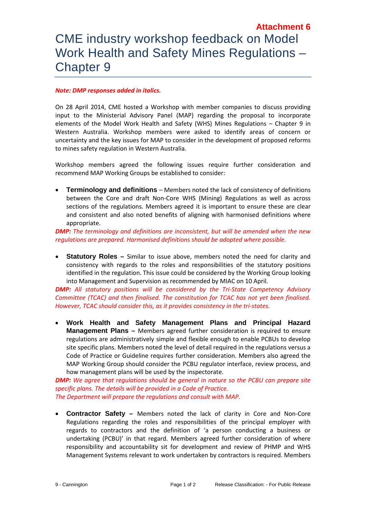# **Attachment 6** CME industry workshop feedback on Model Work Health and Safety Mines Regulations – Chapter 9

#### *Note: DMP responses added in italics.*

On 28 April 2014, CME hosted a Workshop with member companies to discuss providing input to the Ministerial Advisory Panel (MAP) regarding the proposal to incorporate elements of the Model Work Health and Safety (WHS) Mines Regulations – Chapter 9 in Western Australia. Workshop members were asked to identify areas of concern or uncertainty and the key issues for MAP to consider in the development of proposed reforms to mines safety regulation in Western Australia.

Workshop members agreed the following issues require further consideration and recommend MAP Working Groups be established to consider:

• **Terminology and definitions** – Members noted the lack of consistency of definitions between the Core and draft Non-Core WHS (Mining) Regulations as well as across sections of the regulations. Members agreed it is important to ensure these are clear and consistent and also noted benefits of aligning with harmonised definitions where appropriate.

*DMP: The terminology and definitions are inconsistent, but will be amended when the new regulations are prepared. Harmonised definitions should be adopted where possible.*

• **Statutory Roles –** Similar to issue above, members noted the need for clarity and consistency with regards to the roles and responsibilities of the statutory positions identified in the regulation. This issue could be considered by the Working Group looking into Management and Supervision as recommended by MIAC on 10 April.

*DMP: All statutory positions will be considered by the Tri-State Competency Advisory Committee (TCAC) and then finalised. The constitution for TCAC has not yet been finalised. However, TCAC should consider this, as it provides consistency in the tri-states.*

• **Work Health and Safety Management Plans and Principal Hazard Management Plans –** Members agreed further consideration is required to ensure regulations are administratively simple and flexible enough to enable PCBUs to develop site specific plans. Members noted the level of detail required in the regulations versus a Code of Practice or Guideline requires further consideration. Members also agreed the MAP Working Group should consider the PCBU regulator interface, review process, and how management plans will be used by the inspectorate.

*DMP: We agree that regulations should be general in nature so the PCBU can prepare site specific plans. The details will be provided in a Code of Practice. The Department will prepare the regulations and consult with MAP.*

• **Contractor Safety –** Members noted the lack of clarity in Core and Non-Core Regulations regarding the roles and responsibilities of the principal employer with regards to contractors and the definition of 'a person conducting a business or undertaking (PCBU)' in that regard. Members agreed further consideration of where responsibility and accountability sit for development and review of PHMP and WHS Management Systems relevant to work undertaken by contractors is required. Members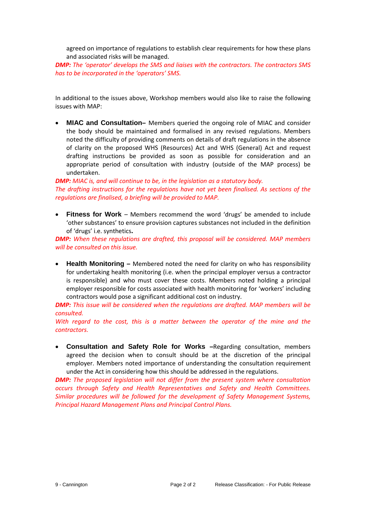agreed on importance of regulations to establish clear requirements for how these plans and associated risks will be managed.

*DMP: The 'operator' develops the SMS and liaises with the contractors. The contractors SMS has to be incorporated in the 'operators' SMS.*

In additional to the issues above, Workshop members would also like to raise the following issues with MAP:

• **MIAC and Consultation–** Members queried the ongoing role of MIAC and consider the body should be maintained and formalised in any revised regulations. Members noted the difficulty of providing comments on details of draft regulations in the absence of clarity on the proposed WHS (Resources) Act and WHS (General) Act and request drafting instructions be provided as soon as possible for consideration and an appropriate period of consultation with industry (outside of the MAP process) be undertaken.

#### *DMP: MIAC is, and will continue to be, in the legislation as a statutory body. The drafting instructions for the regulations have not yet been finalised. As sections of the regulations are finalised, a briefing will be provided to MAP.*

• **Fitness for Work** – Members recommend the word 'drugs' be amended to include 'other substances' to ensure provision captures substances not included in the definition of 'drugs' i.e. synthetics**.** 

*DMP: When these regulations are drafted, this proposal will be considered. MAP members will be consulted on this issue.*

• **Health Monitoring –** Membered noted the need for clarity on who has responsibility for undertaking health monitoring (i.e. when the principal employer versus a contractor is responsible) and who must cover these costs. Members noted holding a principal employer responsible for costs associated with health monitoring for 'workers' including contractors would pose a significant additional cost on industry.

*DMP: This issue will be considered when the regulations are drafted. MAP members will be consulted.* 

*With regard to the cost, this is a matter between the operator of the mine and the contractors.*

• **Consultation and Safety Role for Works –**Regarding consultation, members agreed the decision when to consult should be at the discretion of the principal employer. Members noted importance of understanding the consultation requirement under the Act in considering how this should be addressed in the regulations.

*DMP: The proposed legislation will not differ from the present system where consultation occurs through Safety and Health Representatives and Safety and Health Committees. Similar procedures will be followed for the development of Safety Management Systems, Principal Hazard Management Plans and Principal Control Plans.*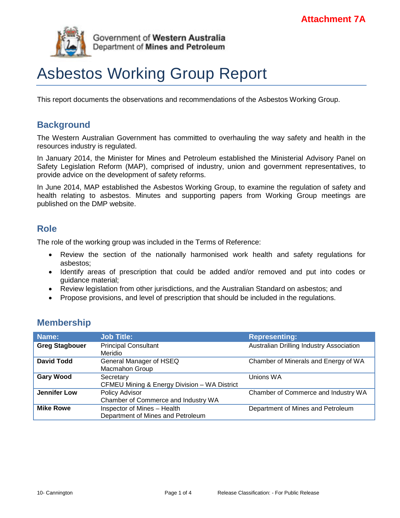

# Asbestos Working Group Report

This report documents the observations and recommendations of the Asbestos Working Group.

# **Background**

The Western Australian Government has committed to overhauling the way safety and health in the resources industry is regulated.

In January 2014, the Minister for Mines and Petroleum established the Ministerial Advisory Panel on Safety Legislation Reform (MAP), comprised of industry, union and government representatives, to provide advice on the development of safety reforms.

In June 2014, MAP established the Asbestos Working Group, to examine the regulation of safety and health relating to asbestos. Minutes and supporting papers from Working Group meetings are published on the DMP website.

# **Role**

The role of the working group was included in the Terms of Reference:

- Review the section of the nationally harmonised work health and safety regulations for asbestos;
- Identify areas of prescription that could be added and/or removed and put into codes or guidance material;
- Review legislation from other jurisdictions, and the Australian Standard on asbestos; and
- Propose provisions, and level of prescription that should be included in the regulations.

# **Membership**

| Name:                 | <b>Job Title:</b>                            | <b>Representing:</b>                     |
|-----------------------|----------------------------------------------|------------------------------------------|
| <b>Greg Stagbouer</b> | <b>Principal Consultant</b>                  | Australian Drilling Industry Association |
|                       | Meridio                                      |                                          |
| <b>David Todd</b>     | General Manager of HSEQ                      | Chamber of Minerals and Energy of WA     |
|                       | Macmahon Group                               |                                          |
| <b>Gary Wood</b>      | Secretary                                    | Unions WA                                |
|                       | CFMEU Mining & Energy Division - WA District |                                          |
| <b>Jennifer Low</b>   | Policy Advisor                               | Chamber of Commerce and Industry WA      |
|                       | Chamber of Commerce and Industry WA          |                                          |
| <b>Mike Rowe</b>      | Inspector of Mines - Health                  | Department of Mines and Petroleum        |
|                       | Department of Mines and Petroleum            |                                          |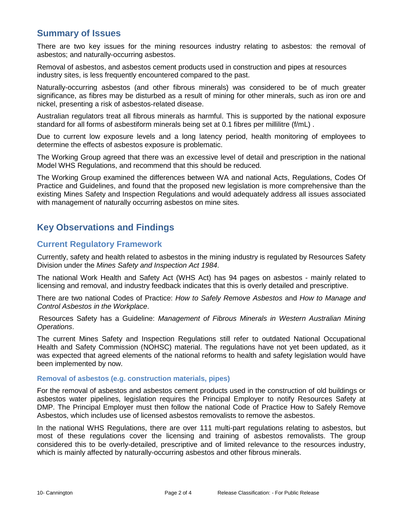# **Summary of Issues**

There are two key issues for the mining resources industry relating to asbestos: the removal of asbestos; and naturally-occurring asbestos.

Removal of asbestos, and asbestos cement products used in construction and pipes at resources industry sites, is less frequently encountered compared to the past.

Naturally-occurring asbestos (and other fibrous minerals) was considered to be of much greater significance, as fibres may be disturbed as a result of mining for other minerals, such as iron ore and nickel, presenting a risk of asbestos-related disease.

Australian regulators treat all fibrous minerals as harmful. This is supported by the national exposure standard for all forms of asbestiform minerals being set at 0.1 fibres per millilitre (f/mL) .

Due to current low exposure levels and a long latency period, health monitoring of employees to determine the effects of asbestos exposure is problematic.

The Working Group agreed that there was an excessive level of detail and prescription in the national Model WHS Regulations, and recommend that this should be reduced.

The Working Group examined the differences between WA and national Acts, Regulations, Codes Of Practice and Guidelines, and found that the proposed new legislation is more comprehensive than the existing Mines Safety and Inspection Regulations and would adequately address all issues associated with management of naturally occurring asbestos on mine sites.

# **Key Observations and Findings**

### **Current Regulatory Framework**

Currently, safety and health related to asbestos in the mining industry is regulated by Resources Safety Division under the *Mines Safety and Inspection Act 1984*.

The national Work Health and Safety Act (WHS Act) has 94 pages on asbestos - mainly related to licensing and removal, and industry feedback indicates that this is overly detailed and prescriptive.

There are two national Codes of Practice: *How to Safely Remove Asbestos* and *How to Manage and Control Asbestos in the Workplace*.

Resources Safety has a Guideline: *Management of Fibrous Minerals in Western Australian Mining Operations*.

The current Mines Safety and Inspection Regulations still refer to outdated National Occupational Health and Safety Commission (NOHSC) material. The regulations have not yet been updated, as it was expected that agreed elements of the national reforms to health and safety legislation would have been implemented by now.

#### **Removal of asbestos (e.g. construction materials, pipes)**

For the removal of asbestos and asbestos cement products used in the construction of old buildings or asbestos water pipelines, legislation requires the Principal Employer to notify Resources Safety at DMP. The Principal Employer must then follow the national Code of Practice How to Safely Remove Asbestos, which includes use of licensed asbestos removalists to remove the asbestos.

In the national WHS Regulations, there are over 111 multi-part regulations relating to asbestos, but most of these regulations cover the licensing and training of asbestos removalists. The group considered this to be overly-detailed, prescriptive and of limited relevance to the resources industry, which is mainly affected by naturally-occurring asbestos and other fibrous minerals.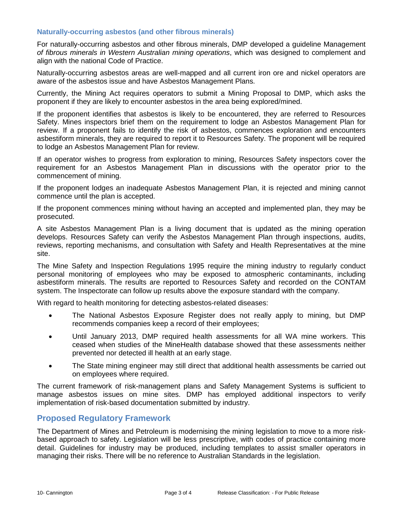#### **Naturally-occurring asbestos (and other fibrous minerals)**

For naturally-occurring asbestos and other fibrous minerals, DMP developed a guideline Management *of fibrous minerals in Western Australian mining operations*, which was designed to complement and align with the national Code of Practice.

Naturally-occurring asbestos areas are well-mapped and all current iron ore and nickel operators are aware of the asbestos issue and have Asbestos Management Plans.

Currently, the Mining Act requires operators to submit a Mining Proposal to DMP, which asks the proponent if they are likely to encounter asbestos in the area being explored/mined.

If the proponent identifies that asbestos is likely to be encountered, they are referred to Resources Safety. Mines inspectors brief them on the requirement to lodge an Asbestos Management Plan for review. If a proponent fails to identify the risk of asbestos, commences exploration and encounters asbestiform minerals, they are required to report it to Resources Safety. The proponent will be required to lodge an Asbestos Management Plan for review.

If an operator wishes to progress from exploration to mining, Resources Safety inspectors cover the requirement for an Asbestos Management Plan in discussions with the operator prior to the commencement of mining.

If the proponent lodges an inadequate Asbestos Management Plan, it is rejected and mining cannot commence until the plan is accepted.

If the proponent commences mining without having an accepted and implemented plan, they may be prosecuted.

A site Asbestos Management Plan is a living document that is updated as the mining operation develops. Resources Safety can verify the Asbestos Management Plan through inspections, audits, reviews, reporting mechanisms, and consultation with Safety and Health Representatives at the mine site.

The Mine Safety and Inspection Regulations 1995 require the mining industry to regularly conduct personal monitoring of employees who may be exposed to atmospheric contaminants, including asbestiform minerals. The results are reported to Resources Safety and recorded on the CONTAM system. The Inspectorate can follow up results above the exposure standard with the company.

With regard to health monitoring for detecting asbestos-related diseases:

- The National Asbestos Exposure Register does not really apply to mining, but DMP recommends companies keep a record of their employees;
- Until January 2013, DMP required health assessments for all WA mine workers. This ceased when studies of the MineHealth database showed that these assessments neither prevented nor detected ill health at an early stage.
- The State mining engineer may still direct that additional health assessments be carried out on employees where required.

The current framework of risk-management plans and Safety Management Systems is sufficient to manage asbestos issues on mine sites. DMP has employed additional inspectors to verify implementation of risk-based documentation submitted by industry.

#### **Proposed Regulatory Framework**

The Department of Mines and Petroleum is modernising the mining legislation to move to a more riskbased approach to safety. Legislation will be less prescriptive, with codes of practice containing more detail. Guidelines for industry may be produced, including templates to assist smaller operators in managing their risks. There will be no reference to Australian Standards in the legislation.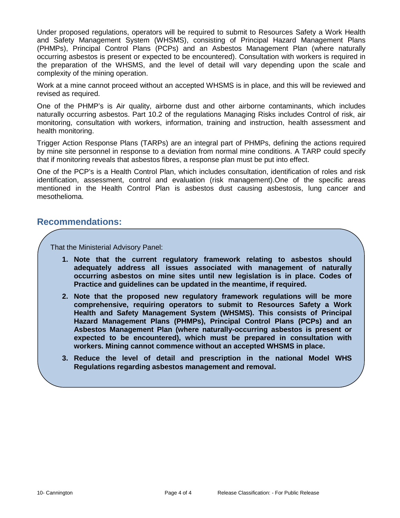Under proposed regulations, operators will be required to submit to Resources Safety a Work Health and Safety Management System (WHSMS), consisting of Principal Hazard Management Plans (PHMPs), Principal Control Plans (PCPs) and an Asbestos Management Plan (where naturally occurring asbestos is present or expected to be encountered). Consultation with workers is required in the preparation of the WHSMS, and the level of detail will vary depending upon the scale and complexity of the mining operation.

Work at a mine cannot proceed without an accepted WHSMS is in place, and this will be reviewed and revised as required.

One of the PHMP's is Air quality, airborne dust and other airborne contaminants, which includes naturally occurring asbestos. Part 10.2 of the regulations Managing Risks includes Control of risk, air monitoring, consultation with workers, information, training and instruction, health assessment and health monitoring.

Trigger Action Response Plans (TARPs) are an integral part of PHMPs, defining the actions required by mine site personnel in response to a deviation from normal mine conditions. A TARP could specify that if monitoring reveals that asbestos fibres, a response plan must be put into effect.

One of the PCP's is a Health Control Plan, which includes consultation, identification of roles and risk identification, assessment, control and evaluation (risk management).One of the specific areas mentioned in the Health Control Plan is asbestos dust causing asbestosis, lung cancer and mesothelioma.

### **Recommendations:**

That the Ministerial Advisory Panel:

- **1. Note that the current regulatory framework relating to asbestos should adequately address all issues associated with management of naturally occurring asbestos on mine sites until new legislation is in place. Codes of Practice and guidelines can be updated in the meantime, if required.**
- **2. Note that the proposed new regulatory framework regulations will be more comprehensive, requiring operators to submit to Resources Safety a Work Health and Safety Management System (WHSMS). This consists of Principal Hazard Management Plans (PHMPs), Principal Control Plans (PCPs) and an Asbestos Management Plan (where naturally-occurring asbestos is present or expected to be encountered), which must be prepared in consultation with workers. Mining cannot commence without an accepted WHSMS in place.**
- **3. Reduce the level of detail and prescription in the national Model WHS Regulations regarding asbestos management and removal.**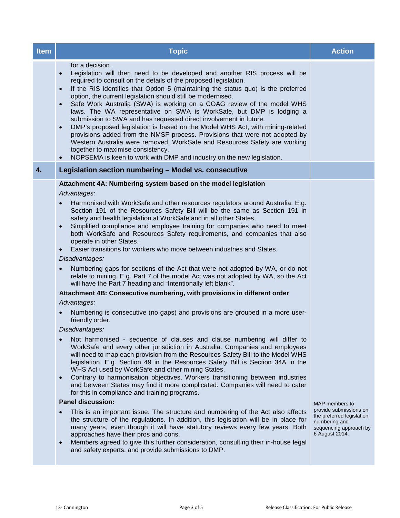| <b>Item</b>  | <b>Topic</b>                                                                                                                                                                                                                                                                                                                                                                                                                                                                                                                                                                                                                                                                                                                                                                                                                                                                                                                                                                                                                                                                                                                                                                                                                                                                                                                                                                                                                                                                                                                                                                                                                                                                                                                                                                                                                                                                                                                                                                                                                                                                                                                                                                                           | <b>Action</b>                                                                                                                      |
|--------------|--------------------------------------------------------------------------------------------------------------------------------------------------------------------------------------------------------------------------------------------------------------------------------------------------------------------------------------------------------------------------------------------------------------------------------------------------------------------------------------------------------------------------------------------------------------------------------------------------------------------------------------------------------------------------------------------------------------------------------------------------------------------------------------------------------------------------------------------------------------------------------------------------------------------------------------------------------------------------------------------------------------------------------------------------------------------------------------------------------------------------------------------------------------------------------------------------------------------------------------------------------------------------------------------------------------------------------------------------------------------------------------------------------------------------------------------------------------------------------------------------------------------------------------------------------------------------------------------------------------------------------------------------------------------------------------------------------------------------------------------------------------------------------------------------------------------------------------------------------------------------------------------------------------------------------------------------------------------------------------------------------------------------------------------------------------------------------------------------------------------------------------------------------------------------------------------------------|------------------------------------------------------------------------------------------------------------------------------------|
|              | for a decision.<br>Legislation will then need to be developed and another RIS process will be<br>$\bullet$<br>required to consult on the details of the proposed legislation.<br>If the RIS identifies that Option 5 (maintaining the status quo) is the preferred<br>$\bullet$<br>option, the current legislation should still be modernised.<br>Safe Work Australia (SWA) is working on a COAG review of the model WHS<br>$\bullet$<br>laws. The WA representative on SWA is WorkSafe, but DMP is lodging a<br>submission to SWA and has requested direct involvement in future.<br>DMP's proposed legislation is based on the Model WHS Act, with mining-related<br>$\bullet$<br>provisions added from the NMSF process. Provisions that were not adopted by<br>Western Australia were removed. WorkSafe and Resources Safety are working<br>together to maximise consistency.<br>NOPSEMA is keen to work with DMP and industry on the new legislation.                                                                                                                                                                                                                                                                                                                                                                                                                                                                                                                                                                                                                                                                                                                                                                                                                                                                                                                                                                                                                                                                                                                                                                                                                                             |                                                                                                                                    |
| $\mathbf{4}$ | Legislation section numbering - Model vs. consecutive                                                                                                                                                                                                                                                                                                                                                                                                                                                                                                                                                                                                                                                                                                                                                                                                                                                                                                                                                                                                                                                                                                                                                                                                                                                                                                                                                                                                                                                                                                                                                                                                                                                                                                                                                                                                                                                                                                                                                                                                                                                                                                                                                  |                                                                                                                                    |
|              | Attachment 4A: Numbering system based on the model legislation<br>Advantages:<br>Harmonised with WorkSafe and other resources regulators around Australia. E.g.<br>Section 191 of the Resources Safety Bill will be the same as Section 191 in<br>safety and health legislation at WorkSafe and in all other States.<br>Simplified compliance and employee training for companies who need to meet<br>$\bullet$<br>both WorkSafe and Resources Safety requirements, and companies that also<br>operate in other States.<br>Easier transitions for workers who move between industries and States.<br>$\bullet$<br>Disadvantages:<br>Numbering gaps for sections of the Act that were not adopted by WA, or do not<br>$\bullet$<br>relate to mining. E.g. Part 7 of the model Act was not adopted by WA, so the Act<br>will have the Part 7 heading and "Intentionally left blank".<br>Attachment 4B: Consecutive numbering, with provisions in different order<br>Advantages:<br>Numbering is consecutive (no gaps) and provisions are grouped in a more user-<br>friendly order.<br>Disadvantages:<br>Not harmonised - sequence of clauses and clause numbering will differ to<br>WorkSafe and every other jurisdiction in Australia. Companies and employees<br>will need to map each provision from the Resources Safety Bill to the Model WHS<br>legislation. E.g. Section 49 in the Resources Safety Bill is Section 34A in the<br>WHS Act used by WorkSafe and other mining States.<br>Contrary to harmonisation objectives. Workers transitioning between industries<br>$\bullet$<br>and between States may find it more complicated. Companies will need to cater<br>for this in compliance and training programs.<br><b>Panel discussion:</b><br>This is an important issue. The structure and numbering of the Act also affects<br>the structure of the regulations. In addition, this legislation will be in place for<br>many years, even though it will have statutory reviews every few years. Both<br>approaches have their pros and cons.<br>Members agreed to give this further consideration, consulting their in-house legal<br>and safety experts, and provide submissions to DMP. | MAP members to<br>provide submissions on<br>the preferred legislation<br>numbering and<br>sequencing approach by<br>6 August 2014. |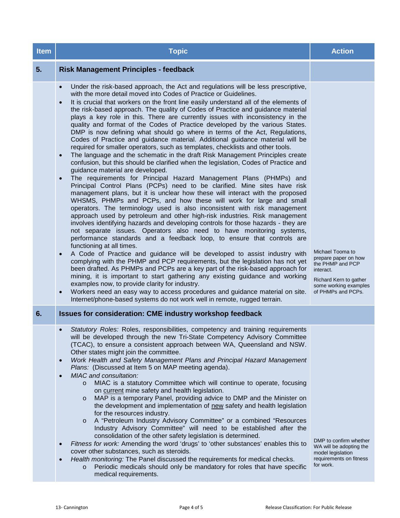| <b>RREST</b>                                                                                              | $b$ ted $\blacksquare$                                                                                                                                                                                                                                                                                                                              | 14 July204   |  |  |  |
|-----------------------------------------------------------------------------------------------------------|-----------------------------------------------------------------------------------------------------------------------------------------------------------------------------------------------------------------------------------------------------------------------------------------------------------------------------------------------------|--------------|--|--|--|
| bite                                                                                                      | <b>L</b> wPritchrd<br><b>SHIRE RIM</b>                                                                                                                                                                                                                                                                                                              |              |  |  |  |
| <b>Nunforation</b><br>since last reting                                                                   | On 7 July 2014, DMP received Government approval to commendeafting the<br>$\bullet$<br>Resources Safety Bill, including transferring responsibility for Major Hazard Facilities<br>from the Dangerous Goods Safety Act 2004.                                                                                                                        |              |  |  |  |
|                                                                                                           | To determine the best approach for consolidating safety legislation, stakeh<br>$\bullet$<br>consultation will be undertaken through a Regulatory Impact Statement (RIS)ess<br>An external consultant will bengaged to facilitatethis process, identifying th<br>positives and negatives of the various options, and identifying a preferred option. |              |  |  |  |
|                                                                                                           | DMP is continuing worlen the mines safety provision and liaising with Commerce on                                                                                                                                                                                                                                                                   |              |  |  |  |
|                                                                                                           | Three working groups (Guarding, Confined Spaces and Asbestos), have concluded.<br>$\bullet$<br>Their reports will be considered at the 23 July 2014 Ministerial Advisory Panel meeting.                                                                                                                                                             |              |  |  |  |
| Nestones                                                                                                  | <b>Formal approval by Government to proceed</b>                                                                                                                                                                                                                                                                                                     | 30 July 2014 |  |  |  |
|                                                                                                           | <b>Drafting instructions completed foesources Safety Bill</b>                                                                                                                                                                                                                                                                                       | 30 Oct 2014  |  |  |  |
|                                                                                                           | Cabinet approvabf drafting instructions for the Bources Safety Bill                                                                                                                                                                                                                                                                                 | 31 Dec 2014  |  |  |  |
| Nestone status<br>notes                                                                                   | Another consultation RIS will be required once the preferred option for consolidating safety<br>legislation is known.                                                                                                                                                                                                                               |              |  |  |  |
| Drafting instructions for the Resources Safety Bill will need to be submitted to Cabinet for<br>approval. |                                                                                                                                                                                                                                                                                                                                                     |              |  |  |  |

Delayeu

| blte                                          | <b>RAS</b><br>ewritchrd                                                                                                                                                                                                                                                                                                                                                                                                                                                                                                                                                                                                                                                                                                                      |          |  |  |
|-----------------------------------------------|----------------------------------------------------------------------------------------------------------------------------------------------------------------------------------------------------------------------------------------------------------------------------------------------------------------------------------------------------------------------------------------------------------------------------------------------------------------------------------------------------------------------------------------------------------------------------------------------------------------------------------------------------------------------------------------------------------------------------------------------|----------|--|--|
| inforation<br><b>Alw</b><br>since last reting | <b>Critical Risks Branch recruitment process completed for:</b><br><b>Director Dangerous Goods and Petroleum Safety</b><br>$\circ$<br><b>Manager Critical Risks</b><br>$\bigcap$<br><b>Manager Dangerous Goods</b><br>$\bigcap$<br>o Team Leader Critical Risks<br>2 x Principal Inspector Critical Risks OSH<br>$\bigcap$<br>5 x Principal Inspector Critical Risks onshore<br>$\circ$<br>1 x Senior Inspector Critical Risks effore<br>$\circ$<br><b>5 x Senior Inspector Critical Risks onshore</b><br>$\circ$<br>Dangerous Goods Safety Act statutory reviday independent consultant Georg<br>$\bullet$<br>McCullagh is continuing and on track. (Dopy of his presentation was provided to<br>members after the 28 May 2014 MAP meeting) |          |  |  |
| Nestones                                      | Ministerial Advisory Panel (MAP) on Safety Legislation Refestablished.                                                                                                                                                                                                                                                                                                                                                                                                                                                                                                                                                                                                                                                                       | Dec 2013 |  |  |
|                                               | Jun 2014<br>Recruitment to new ARI contracts for Petroleum Safety Branch and Major<br><b>Hazard Facilities commenced.</b>                                                                                                                                                                                                                                                                                                                                                                                                                                                                                                                                                                                                                    |          |  |  |
|                                               | Statutory review by independent consultant of Dangerous Goods Safety Adt Dec 2014<br>2004 submitted to Minister.                                                                                                                                                                                                                                                                                                                                                                                                                                                                                                                                                                                                                             |          |  |  |
| Nestone status<br>notes                       | Further recruitment will commence from late July 2014, for positions within Critical Risks<br>not filled in previous recruitment and for Principal Dangerous Goods Officers and Senior<br>Dangerous Goods Officers.                                                                                                                                                                                                                                                                                                                                                                                                                                                                                                                          |          |  |  |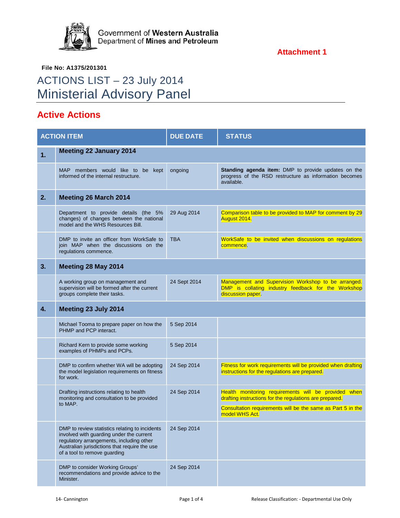

**File No: A1375/201301**

# ACTIONS LIST – 23 July 2014 Ministerial Advisory Panel

# **Active Actions**

| <b>ACTION ITEM</b> |                                                                                                                                                                                                                         | <b>DUE DATE</b> | <b>STATUS</b>                                                                                                                   |  |
|--------------------|-------------------------------------------------------------------------------------------------------------------------------------------------------------------------------------------------------------------------|-----------------|---------------------------------------------------------------------------------------------------------------------------------|--|
| 1.                 | <b>Meeting 22 January 2014</b>                                                                                                                                                                                          |                 |                                                                                                                                 |  |
|                    | MAP members would like to be<br>kept<br>informed of the internal restructure.                                                                                                                                           | ongoing         | Standing agenda item: DMP to provide updates on the<br>progress of the RSD restructure as information becomes<br>available.     |  |
| 2.                 | <b>Meeting 26 March 2014</b>                                                                                                                                                                                            |                 |                                                                                                                                 |  |
|                    | Department to provide details (the 5%<br>changes) of changes between the national<br>model and the WHS Resources Bill.                                                                                                  | 29 Aug 2014     | Comparison table to be provided to MAP for comment by 29<br>August 2014.                                                        |  |
|                    | DMP to invite an officer from WorkSafe to<br>join MAP when the discussions on the<br>regulations commence.                                                                                                              | <b>TBA</b>      | WorkSafe to be invited when discussions on regulations<br>commence.                                                             |  |
| 3.                 | Meeting 28 May 2014                                                                                                                                                                                                     |                 |                                                                                                                                 |  |
|                    | A working group on management and<br>supervision will be formed after the current<br>groups complete their tasks.                                                                                                       | 24 Sept 2014    | Management and Supervision Workshop to be arranged.<br>DMP is collating industry feedback for the Workshop<br>discussion paper. |  |
| 4.                 | Meeting 23 July 2014                                                                                                                                                                                                    |                 |                                                                                                                                 |  |
|                    | Michael Tooma to prepare paper on how the<br>PHMP and PCP interact.                                                                                                                                                     | 5 Sep 2014      |                                                                                                                                 |  |
|                    | Richard Kern to provide some working<br>examples of PHMPs and PCPs.                                                                                                                                                     | 5 Sep 2014      |                                                                                                                                 |  |
|                    | DMP to confirm whether WA will be adopting<br>the model legislation requirements on fitness<br>for work.                                                                                                                | 24 Sep 2014     | Fitness for work requirements will be provided when drafting<br>instructions for the regulations are prepared.                  |  |
|                    | Drafting instructions relating to health<br>monitoring and consultation to be provided                                                                                                                                  | 24 Sep 2014     | Health monitoring requirements will be provided when<br>drafting instructions for the regulations are prepared.                 |  |
|                    | to MAP.                                                                                                                                                                                                                 |                 | Consultation requirements will be the same as Part 5 in the<br>model WHS Act.                                                   |  |
|                    | DMP to review statistics relating to incidents<br>involved with guarding under the current<br>regulatory arrangements, including other<br>Australian jurisdictions that require the use<br>of a tool to remove guarding | 24 Sep 2014     |                                                                                                                                 |  |
|                    | DMP to consider Working Groups'<br>recommendations and provide advice to the<br>Minister.                                                                                                                               | 24 Sep 2014     |                                                                                                                                 |  |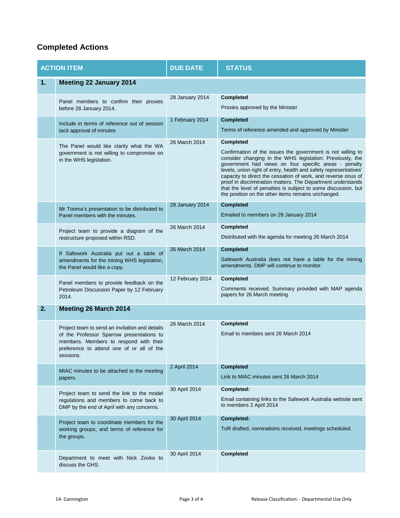# **Completed Actions**

| <b>ACTION ITEM</b> |                                                                                                                                                                                                 | <b>DUE DATE</b>  | <b>STATUS</b>                                                                                                                                                                                                                                                                                                                                                                                                                                                                                                                     |
|--------------------|-------------------------------------------------------------------------------------------------------------------------------------------------------------------------------------------------|------------------|-----------------------------------------------------------------------------------------------------------------------------------------------------------------------------------------------------------------------------------------------------------------------------------------------------------------------------------------------------------------------------------------------------------------------------------------------------------------------------------------------------------------------------------|
| 1.                 | <b>Meeting 22 January 2014</b>                                                                                                                                                                  |                  |                                                                                                                                                                                                                                                                                                                                                                                                                                                                                                                                   |
|                    | Panel members to confirm their proxies<br>before 28 January 2014.                                                                                                                               | 28 January 2014  | <b>Completed</b><br>Proxies approved by the Minister                                                                                                                                                                                                                                                                                                                                                                                                                                                                              |
|                    | Include in terms of reference out of session<br>tacit approval of minutes                                                                                                                       | 1 February 2014  | <b>Completed</b><br>Terms of reference amended and approved by Minister                                                                                                                                                                                                                                                                                                                                                                                                                                                           |
|                    | The Panel would like clarity what the WA<br>government is not willing to compromise on<br>in the WHS legislation.                                                                               | 26 March 2014    | <b>Completed</b><br>Confirmation of the issues the government is not willing to<br>consider changing in the WHS legislation: Previously, the<br>government had views on four specific areas - penalty<br>levels, union right of entry, health and safety representatives'<br>capacity to direct the cessation of work, and reverse onus of<br>proof in discrimination matters. The Department understands<br>that the level of penalties is subject to some discussion, but<br>the position on the other items remains unchanged. |
|                    | Mr Tooma's presentation to be distributed to<br>Panel members with the minutes.                                                                                                                 | 28 January 2014  | <b>Completed</b><br>Emailed to members on 28 January 2014                                                                                                                                                                                                                                                                                                                                                                                                                                                                         |
|                    | Project team to provide a diagram of the<br>restructure proposed within RSD.                                                                                                                    | 26 March 2014    | <b>Completed</b><br>Distributed with the agenda for meeting 26 March 2014                                                                                                                                                                                                                                                                                                                                                                                                                                                         |
|                    | If Safework Australia put out a table of<br>amendments for the mining WHS legislation,<br>the Panel would like a copy.                                                                          | 26 March 2014    | <b>Completed</b><br>Safework Australia does not have a table for the mining<br>amendments. DMP will continue to monitor.                                                                                                                                                                                                                                                                                                                                                                                                          |
|                    | Panel members to provide feedback on the<br>Petroleum Discussion Paper by 12 February<br>2014.                                                                                                  | 12 February 2014 | <b>Completed</b><br>Comments received. Summary provided with MAP agenda<br>papers for 26 March meeting.                                                                                                                                                                                                                                                                                                                                                                                                                           |
| 2.                 | Meeting 26 March 2014                                                                                                                                                                           |                  |                                                                                                                                                                                                                                                                                                                                                                                                                                                                                                                                   |
|                    | Project team to send an invitation and details<br>of the Professor Sparrow presentations to<br>members. Members to respond with their<br>preference to attend one of or all of the<br>sessions. | 26 March 2014    | Completed<br>Email to members sent 26 March 2014                                                                                                                                                                                                                                                                                                                                                                                                                                                                                  |
|                    | MIAC minutes to be attached to the meeting<br>papers.                                                                                                                                           | 2 April 2014     | <b>Completed</b><br>Link to MIAC minutes sent 26 March 2014                                                                                                                                                                                                                                                                                                                                                                                                                                                                       |
|                    | Project team to send the link to the model<br>regulations and members to come back to<br>DMP by the end of April with any concerns.                                                             | 30 April 2014    | Completed:<br>Email containing links to the Safework Australia website sent<br>to members 2 April 2014                                                                                                                                                                                                                                                                                                                                                                                                                            |
|                    | Project team to coordinate members for the<br>working groups, and terms of reference for<br>the groups.                                                                                         | 30 April 2014    | Completed:<br>ToR drafted, nominations received, meetings scheduled.                                                                                                                                                                                                                                                                                                                                                                                                                                                              |
|                    | Department to meet with Nick Zovko to<br>discuss the GHS.                                                                                                                                       | 30 April 2014    | <b>Completed</b>                                                                                                                                                                                                                                                                                                                                                                                                                                                                                                                  |